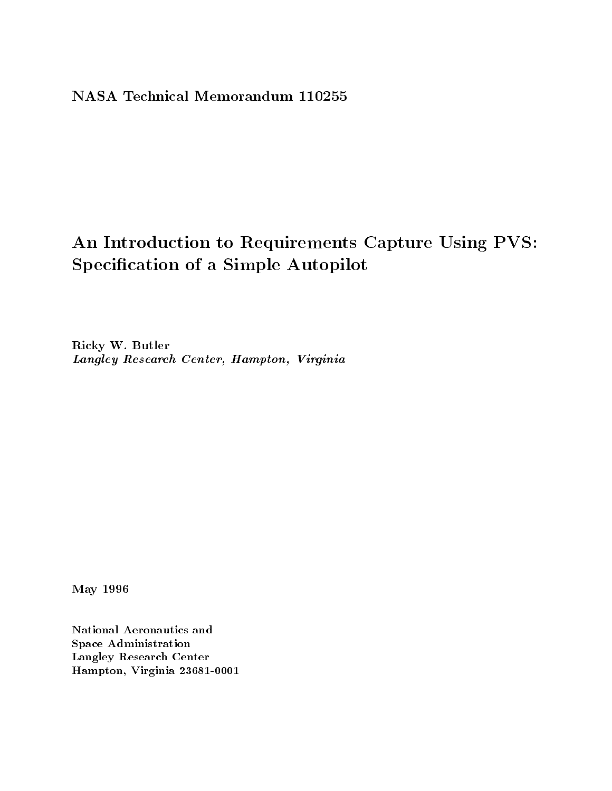# NASA Technical Memorandum 110255

# An Introduction to Requirements Capture Using PVS: Specification of a Simple Autopilot

Ricky W. Butler Langley Research Center, Hampton, Virginia

May 1996

National Aeronautics and Space Administration Langley Research Center Hampton, Virginia 23681-0001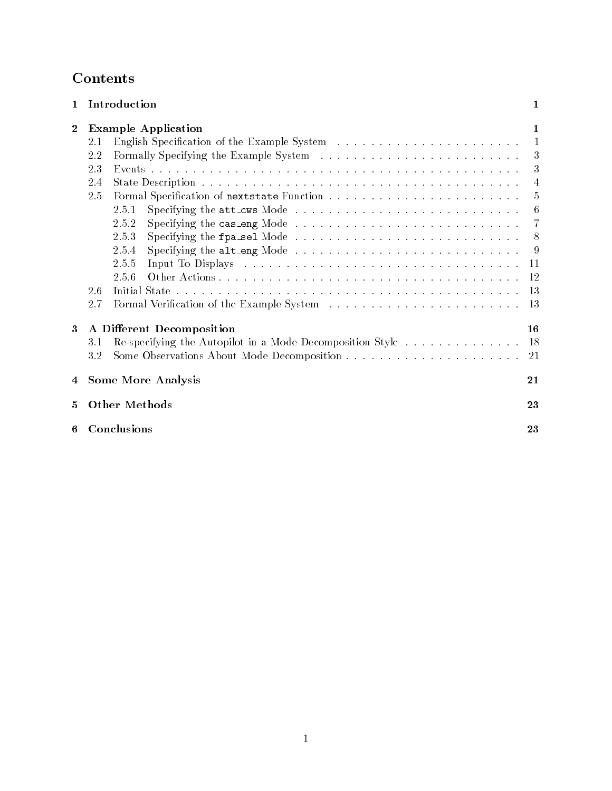# Contents

| $\mathbf 1$      | Introduction                                                                                                                                                                                                                                                                                                                        | 1                                                     |
|------------------|-------------------------------------------------------------------------------------------------------------------------------------------------------------------------------------------------------------------------------------------------------------------------------------------------------------------------------------|-------------------------------------------------------|
| $\boldsymbol{2}$ | <b>Example Application</b><br>2.1<br>2.2<br>23<br>2.4<br>2.5<br>2.5.1<br>Specifying the cas_eng Mode $\dots \dots \dots \dots \dots \dots \dots \dots \dots \dots \dots$<br>2.5.2<br>2.5.3<br>Specifying the alt_eng Mode $\ldots \ldots \ldots \ldots \ldots \ldots \ldots \ldots \ldots$<br>2.5.4<br>2.5.5<br>2.5.6<br>2.6<br>2.7 | 1<br>1<br>3<br>3<br>4<br>5<br>6<br>7<br>8<br>9<br>-11 |
| 3                | A Different Decomposition<br>Re-specifying the Autopilot in a Mode Decomposition Style 18<br>3.1<br>3.2                                                                                                                                                                                                                             | 16<br>-21                                             |
| 4                | <b>Some More Analysis</b>                                                                                                                                                                                                                                                                                                           | 21                                                    |
| 5                | <b>Other Methods</b>                                                                                                                                                                                                                                                                                                                | 23                                                    |
| 6                | Conclusions                                                                                                                                                                                                                                                                                                                         | 23                                                    |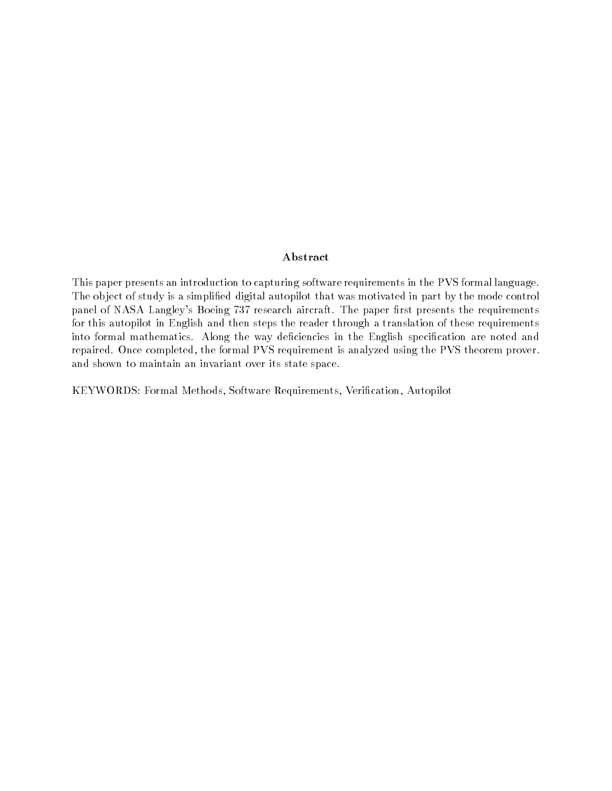### Abstract

This paper presents an introduction to capturing software requirements in the PVS formal language. The ob ject of study is a simplied digital autopilot that was motivated in part by the mode control panel of NASA Langley's Boeing 737 research aircraft. The paper first presents the requirements for this autopilot in English and then steps the reader through a translation of these requirements into formal mathematics. Along the way deficiencies in the English specification are noted and repaired. Once completed, the formal PVS requirement is analyzed using the PVS theorem prover. and shown to maintain an invariant over its state space.

KEYWORDS: Formal Methods, Software Requirements, Verication, Autopilot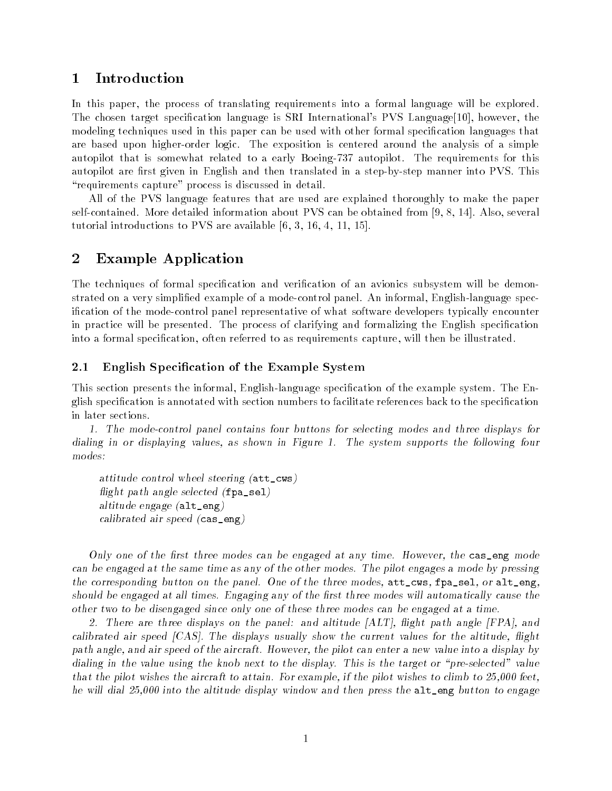#### **Introduction**  $\mathbf 1$

In this paper, the process of translating requirements into a formal language will be explored. The chosen target specification language is SRI International's PVS Language[10], however, the modeling techniques used in this paper can be used with other formal specification languages that are based upon higher-order logic. The exposition is centered around the analysis of a simple autopilot that is somewhat related to a early Boeing-737 autopilot. The requirements for this autopilot are first given in English and then translated in a step-by-step manner into PVS. This "requirements capture" process is discussed in detail.

All of the PVS language features that are used are explained thoroughly to make the paper self-contained. More detailed information about PVS can be obtained from [9, 8, 14]. Also, several tutorial introductions to PVS are available [6, 3, 16, 4, 11, 15].

# 2 Example Application

The techniques of formal specification and verification of an avionics subsystem will be demonstrated on a very simplied example of a mode-control panel. An informal, English-language specication of the mode-control panel representative of what software developers typically encounter in practice will be presented. The process of clarifying and formalizing the English specication into a formal specification, often referred to as requirements capture, will then be illustrated.

### 2.1 English Specification of the Example System

This section presents the informal, English-language specication of the example system. The English specification is annotated with section numbers to facilitate references back to the specification in later sections.

1. The mode-control panel contains four buttons for selecting modes and three displays for dialing in or displaying values, as shown in Figure 1. The system supports the following four modes:

attitude control wheel steering (att\_cws) flight path angle selected  $(fpa\_sel)$ altitude engage (alt\_eng) calibrated air speed (cas\_eng)

Only one of the first three modes can be engaged at any time. However, the cas\_eng mode can be engaged at the same time as any of the other modes. The pilot engages a mode by pressing the corresponding button on the panel. One of the three modes, att\_cws, fpa\_sel, or alt\_eng, should be engaged at all times. Engaging any of the first three modes will automatically cause the other two to be disengaged since only one of these three modes can be engaged at a time.

2. There are three displays on the panel: and altitude [ALT], flight path angle [FPA], and calibrated air speed  $[CAS]$ . The displays usually show the current values for the altitude, flight path angle, and air speed of the aircraft. However, the pilot can enter a new value into a display by dialing in the value using the knob next to the display. This is the target or "pre-selected" value that the pilot wishes the aircraft to attain. For example, if the pilot wishes to climb to 25,000 feet, he will dial 25,000 into the altitude display window and then press the alt\_eng button to engage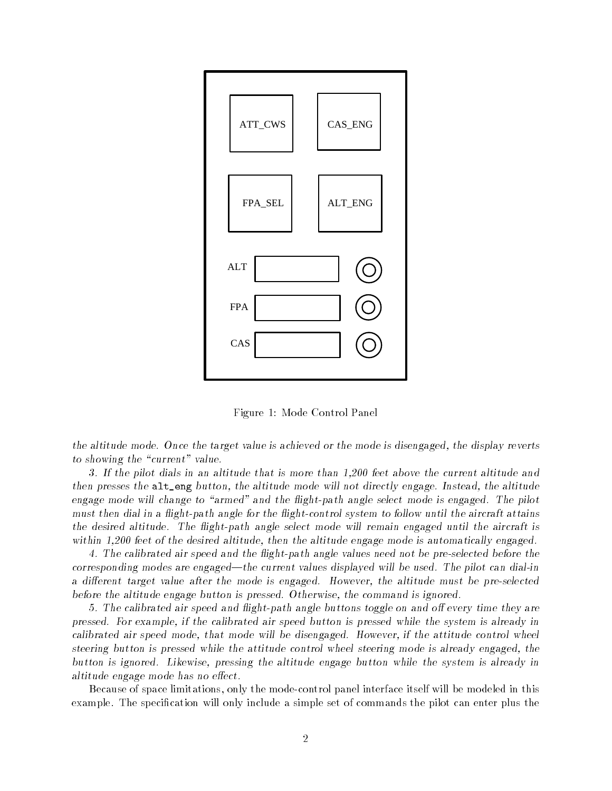

Figure 1: Mode Control Panel

the altitude mode. Once the target value is achieved or the mode is disengaged, the display reverts to showing the "current" value.

3. If the pilot dials in an altitude that is more than 1,200 feet above the current altitude and then presses the alt\_eng button, the altitude mode will not directly engage. Instead, the altitude engage mode will change to "armed" and the flight-path angle select mode is engaged. The pilot must then dial in a flight-path angle for the flight-control system to follow until the aircraft attains the desired altitude. The flight-path angle select mode will remain engaged until the aircraft is within 1,200 feet of the desired altitude, then the altitude engage mode is automatically engaged.

4. The calibrated air speed and the 
ight-path angle values need not be pre-selected before the corresponding modes are engaged—the current values displayed will be used. The pilot can dial-in a different target value after the mode is engaged. However, the altitude must be pre-selected before the altitude engage button is pressed. Otherwise, the command is ignored.

5. The calibrated air speed and flight-path angle buttons toggle on and off every time they are pressed. For example, if the calibrated air speed button is pressed while the system is already in calibrated air speed mode, that mode will be disengaged. However, if the attitude control wheel steering button is pressed while the attitude control wheel steering mode is already engaged, the button is ignored. Likewise, pressing the altitude engage button while the system is already in altitude engage mode has no effect.

Because of space limitations, only the mode-control panel interface itself will be modeled in this example. The specification will only include a simple set of commands the pilot can enter plus the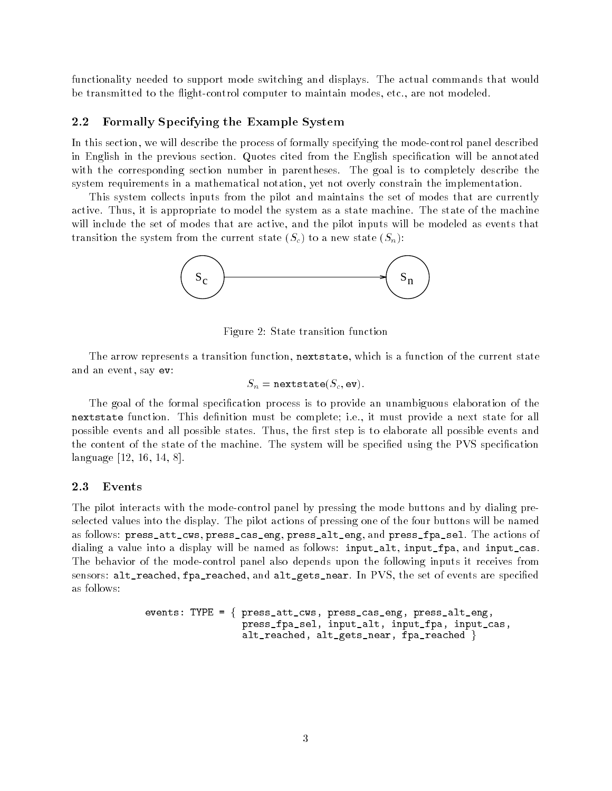functionality needed to support mode switching and displays. The actual commands that would be transmitted to the flight-control computer to maintain modes, etc., are not modeled.

#### $2.2$ 2.2 Formally Specifying the Example System

In this section, we will describe the process of formally specifying the mode-control panel described in English in the previous section. Quotes cited from the English specication will be annotated with the corresponding section number in parentheses. The goal is to completely describe the system requirements in a mathematical notation, yet not overly constrain the implementation.

This system collects inputs from the pilot and maintains the set of modes that are currently active. Thus, it is appropriate to model the system as a state machine. The state of the machine will include the set of modes that are active, and the pilot inputs will be modeled as events that transition the system from the current state  $(S_c)$  to a new state  $(S_n)$ :



Figure 2: State transition function

The arrow represents a transition function, nextstate, which is a function of the current state and an event, say ev:

$$
S_n = \mathtt{nextstate}(S_c, \mathtt{ev}).
$$

The goal of the formal specication process is to provide an unambiguous elaboration of the nextstate function. This definition must be complete; i.e., it must provide a next state for all possible events and all possible states. Thus, the first step is to elaborate all possible events and the content of the state of the machine. The system will be specified using the PVS specification language [12, 16, 14, 8].

#### 2.3 Events

The pilot interacts with the mode-control panel by pressing the mode buttons and by dialing preselected values into the display. The pilot actions of pressing one of the four buttons will be named as follows: press\_att\_cws, press\_cas\_eng, press\_alt\_eng, and press\_fpa\_sel. The actions of dialing a value into a display will be named as follows: input\_alt, input\_fpa, and input\_cas. The behavior of the mode-control panel also depends upon the following inputs it receives from sensors: alt\_reached, fpa\_reached, and alt\_gets\_near. In PVS, the set of events are specified as follows:

```
events: TYPE = \{ press_att_cws, press_cas_eng, press_alt_eng,
                 press_fpa_sel, input_alt, input_fpa, input_cas,
                 alt_reached, alt_gets_near, fpa_reached \}
```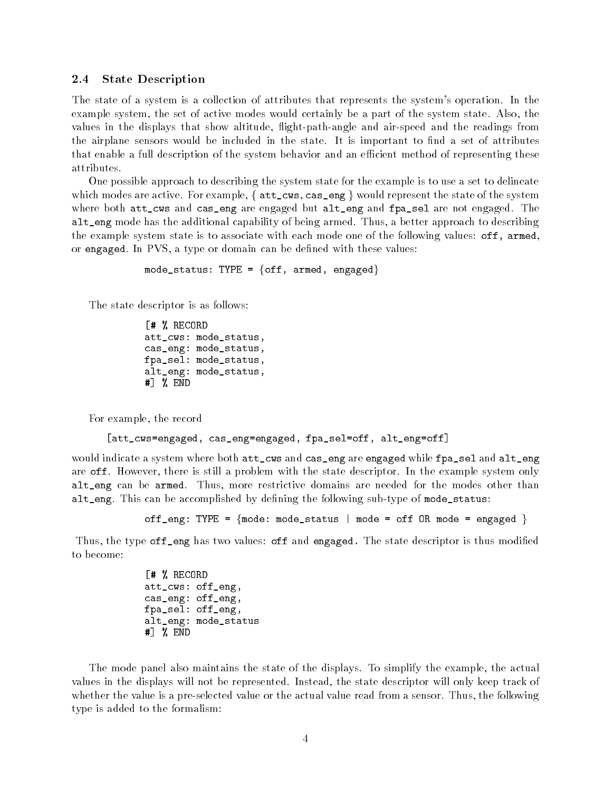### 2.4 State Description

The state of a system is a collection of attributes that represents the system's operation. In the example system, the set of active modes would certainly be a part of the system state. Also, the values in the displays that show altitude, flight-path-angle and air-speed and the readings from the airplane sensors would be included in the state. It is important to find a set of attributes that enable a full description of the system behavior and an efficient method of representing these attributes.

One possible approach to describing the system state for the example is to use a set to delineate which modes are active. For example,  $\{$  att\_cws, cas\_eng  $\}$  would represent the state of the system where both att\_cws and cas\_eng are engaged but alt\_eng and fpa\_sel are not engaged. The alt\_eng mode has the additional capability of being armed. Thus, a better approach to describing the example system state is to associate with each mode one of the following values: off, armed, or engaged. In PVS, a type or domain can be defined with these values:

mode\_status: TYPE =  $\{off, \text{ armed}, \text{engaged}\}\$ 

The state descriptor is as follows:

[# % RECORD att\_cws: mode\_status, cas\_eng: mode\_status, fpa\_sel: mode\_status, alt\_eng: mode\_status, #] % END

For example, the record

```
[att_cws=engaged, cas_eng=engaged, fpa_sel=off, alt_eng=off]
```
would indicate a system where both att\_cws and cas\_eng are engaged while fpa\_sel and alt\_eng are off. However, there is still a problem with the state descriptor. In the example system only alt\_eng can be armed. Thus, more restrictive domains are needed for the modes other than alt\_eng. This can be accomplished by defining the following sub-type of mode\_status:

off\_eng: TYPE =  ${mode:$  mode\_status | mode = off OR mode = engaged  $}$ 

Thus, the type off eng has two values: off and engaged. The state descriptor is thus modified to become:

> [# % RECORD att\_cws: off\_eng, cas\_eng: off\_eng, fpa\_sel: off\_eng, alt\_eng: mode\_status #] % END

The mode panel also maintains the state of the displays. To simplify the example, the actual values in the displays will not be represented. Instead, the state descriptor will only keep track of whether the value is a pre-selected value or the actual value read from a sensor. Thus, the following type is added to the formalism: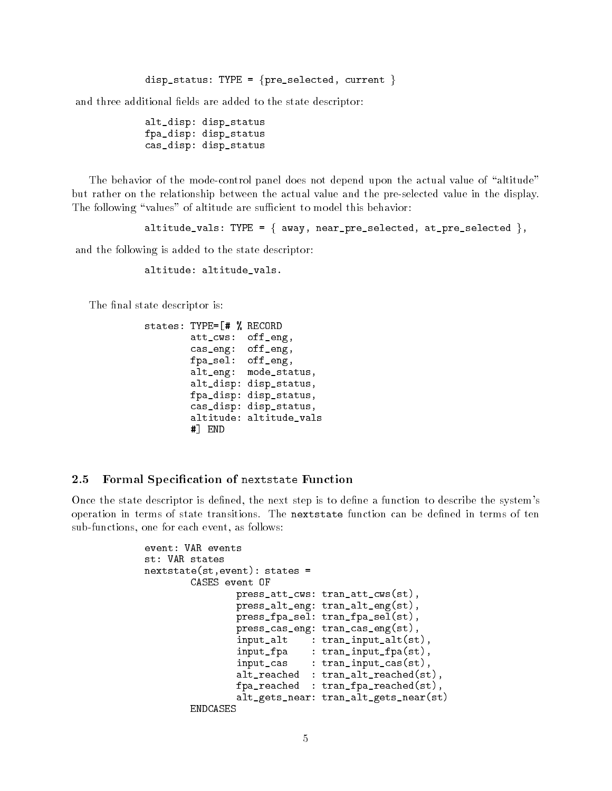```
disp_status: TYPE = {pre\_selected, current}
```
and three additional fields are added to the state descriptor:

alt\_disp: disp\_status fpa\_disp: disp\_status cas\_disp: disp\_status

The behavior of the mode-control panel does not depend upon the actual value of "altitude" but rather on the relationship between the actual value and the pre-selected value in the display. The following "values" of altitude are sufficient to model this behavior:

```
altitude_vals: TYPE = \{ away, near_pre_selected, at_pre_selected \},
```
and the following is added to the state descriptor:

altitude: altitude\_vals.

The final state descriptor is:

```
states: TYPE=[# % RECORD
       att_cws: off_eng,
       cas_eng: off_eng,
       fpa_sel: off_eng,
       alt_eng: mode_status,
       alt_disp: disp_status,
       fpa_disp: disp_status,
       cas_disp: disp_status,
       altitude: altitude_vals
       #] END
```
#### 2.5 Formal Specification of nextstate Function

Once the state descriptor is defined, the next step is to define a function to describe the system's operation in terms of state transitions. The nextstate function can be dened in terms of ten sub-functions, one for each event, as follows:

```
event: VAR events
st: VAR states
nextstate(st,event): states =
       CASES event OF
                press_att_cws: tran_att_cws(st),
               press_alt_eng: tran_alt_eng(st),
                press_fpa_sel: tran_fpa_sel(st),
                press_cas_eng: tran_cas_eng(st),
                input_alt : tran_input_alt(st),
                input_fpa : tran_input_fpa(st),
                input_cas : tran_input_cas(st),
                alt_reached : tran_alt_reached(st),
                fpa_reached : tran_fpa_reached(st),
                alt_gets_near: tran_alt_gets_near(st)
       ENDCASES
```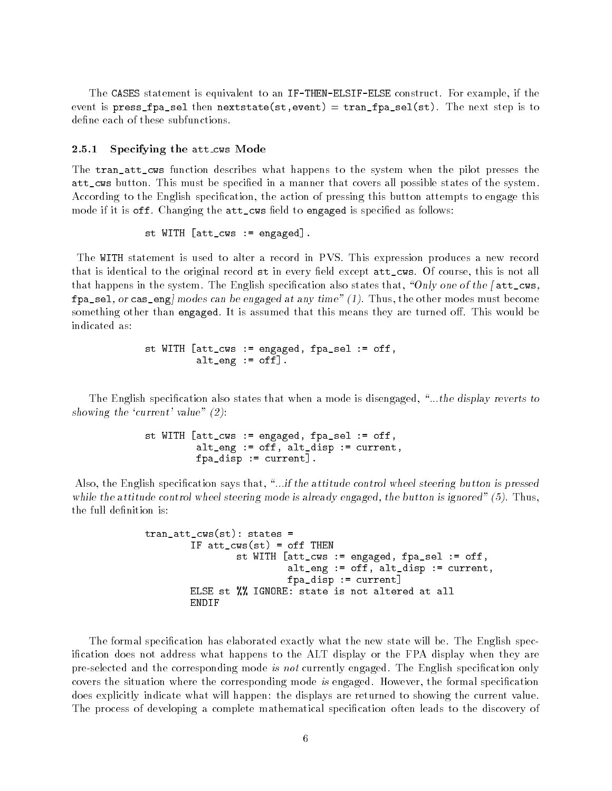The CASES statement is equivalent to an IF-THEN-ELSIF-ELSE construct. For example, if the event is press\_fpa\_sel then nextstate(st,event) =  $tran_fpa_sel(st)$ . The next step is to define each of these subfunctions.

#### 2.5.1 Specifying the att\_cws Mode

The tran\_att\_cws function describes what happens to the system when the pilot presses the att\_cws button. This must be specied in a manner that covers all possible states of the system. According to the English specication, the action of pressing this button attempts to engage this mode if it is off. Changing the att\_cws field to engaged is specified as follows:

$$
\tt{st \; WITH \; [att\_cws \; := \; engaged]} \, .
$$

The WITH statement is used to alter a record in PVS. This expression produces a new record that is identical to the original record  $st$  in every field except  $att\_cws$ . Of course, this is not all that happens in the system. The English specification also states that, "Only one of the [  $att\_cws$ ,  $fpa\_sel$ , or cas\_eng] modes can be engaged at any time" (1). Thus, the other modes must become something other than engaged. It is assumed that this means they are turned off. This would be indicated as:

```
st WITH [att_cws := engaged, fpa_sel := off,
         alt_eng := off].
```
The English specification also states that when a mode is disengaged, "...the display reverts to showing the 'current' value"  $(2)$ :

```
st WITH [att_cws := engaged, fpa_sel := off,
         alt_eng := off, alt_disp := current,
         fpa_disp := current].
```
Also, the English specification says that, "...if the attitude control wheel steering button is pressed while the attitude control wheel steering mode is already engaged, the button is ignored" (5). Thus, the full definition is:

```
tran_att_cws(st): states =
        IF att\_cws(st) = off THEN
                st WITH [att_cws := engaged, fpa_sel := off,
                         alt_eng := off, alt_disp := current,
                         fpa_disp := current]
       ELSE st %% IGNORE: state is not altered at all
        ENDIF
```
The formal specication has elaborated exactly what the new state will be. The English specication does not address what happens to the ALT display or the FPA display when they are pre-selected and the corresponding mode is not currently engaged. The English specification only covers the situation where the corresponding mode is engaged. However, the formal specification does explicitly indicate what will happen: the displays are returned to showing the current value. The process of developing a complete mathematical specification often leads to the discovery of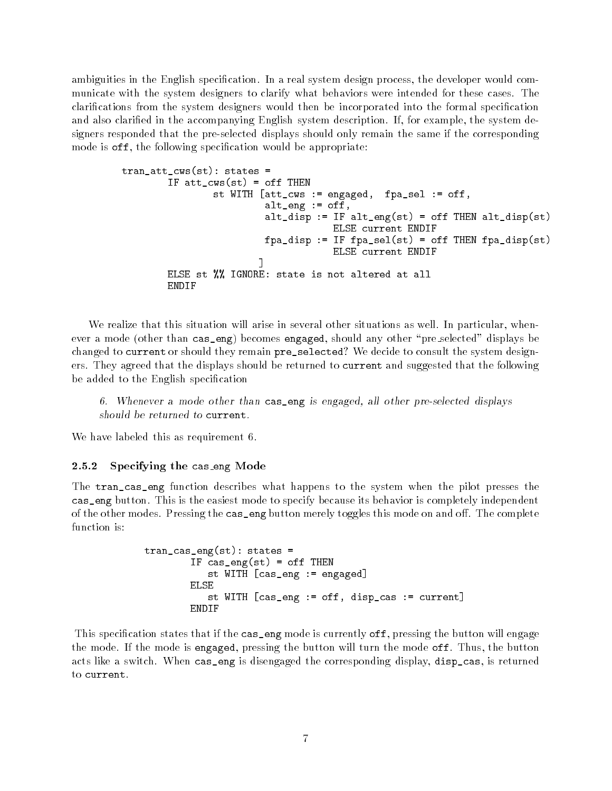ambiguities in the English specification. In a real system design process, the developer would communicate with the system designers to clarify what behaviors were intended for these cases. The clarications from the system designers would then be incorporated into the formal specication and also claried in the accompanying English system description. If, for example, the system designers responded that the pre-selected displays should only remain the same if the corresponding mode is off, the following specification would be appropriate:

```
tran_att_cws(st): states =
        IF att\_cws(st) = off THEN
                st WITH [att_cws := engaged, fpa_sel := off,
                         alt_eng := off,
                         alt_disp := IF alt_eng(st) = off THEN alt_disp(st)
                                     ELSE current ENDIF
                         fpa\_disp := IF fp1(self) = off THEN fp2disp(st)ELSE current ENDIF
                        ]
        ELSE st %% IGNORE: state is not altered at all
        ENDIF
```
We realize that this situation will arise in several other situations as well. In particular, whenever a mode (other than cas\_eng) becomes engaged, should any other "pre\_selected" displays be changed to current or should they remain pre\_selected? We decide to consult the system designers. They agreed that the displays should be returned to current and suggested that the following be added to the English specification

6. Whenever a mode other than cas\_eng is engaged, all other pre-selected displays should be returned to current.

We have labeled this as requirement 6.

#### 2.5.2 Specifying the cas eng Mode

The tran\_cas\_eng function describes what happens to the system when the pilot presses the cas\_eng button. This is the easiest mode to specify because its behavior is completely independent of the other modes. Pressing the cas\_eng button merely toggles this mode on and off. The complete function is:

```
tran_cas_eng(st): states =
        IF cas\_eng(st) = off THEN
           st WITH [cas_eng := engaged]
        ELSE
           st WITH [cas_eng := off, disp_cas := current]
        ENDIF
```
This specification states that if the cas\_eng mode is currently off, pressing the button will engage the mode. If the mode is engaged, pressing the button will turn the mode off. Thus, the button acts like a switch. When cas\_eng is disengaged the corresponding display, disp\_cas, is returned to current.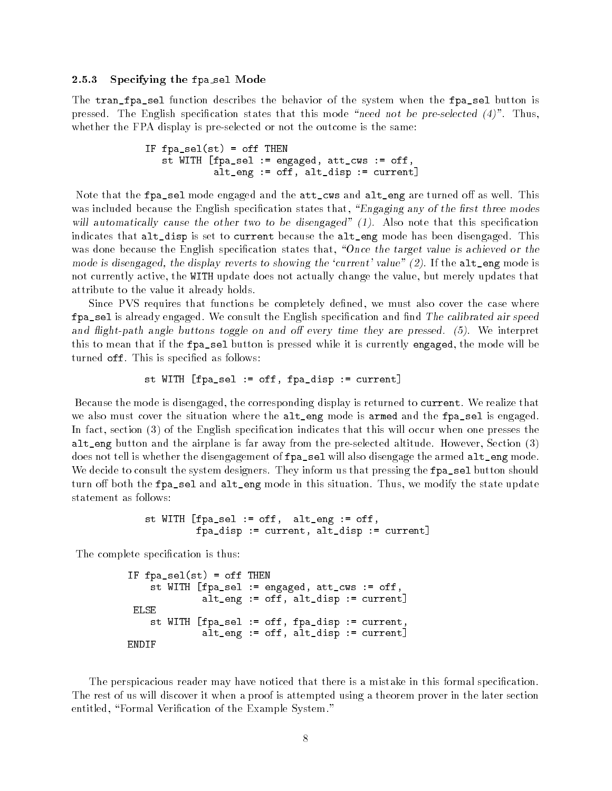#### 2.5.3 Specifying the fpa sel Mode

The tran\_fpa\_sel function describes the behavior of the system when the fpa\_sel button is pressed. The English specification states that this mode "need not be pre-selected  $(4)$ ". Thus, whether the FPA display is pre-selected or not the outcome is the same:

```
IF fpa_sel(st) = off THEN
  st WITH [fpa_sel := engaged, att_cws := off,
            alt_eng := off, alt_disp := current]
```
Note that the  $fpa$  sel mode engaged and the  $att_cws$  and  $alt_ceng$  are turned off as well. This was included because the English specification states that, "Engaging any of the first three modes will automatically cause the other two to be disengaged"  $(1)$ . Also note that this specification indicates that alt\_disp is set to current because the alt\_eng mode has been disengaged. This was done because the English specification states that, "Once the target value is achieved or the mode is disengaged, the display reverts to showing the 'current' value"  $(2)$ . If the alt\_eng mode is not currently active, the WITH update does not actually change the value, but merely updates that attribute to the value it already holds.

Since PVS requires that functions be completely defined, we must also cover the case where fpa\_sel is already engaged. We consult the English specification and find The calibrated air speed and flight-path angle buttons toggle on and off every time they are pressed.  $(5)$ . We interpret this to mean that if the fpa\_sel button is pressed while it is currently engaged, the mode will be turned off. This is specified as follows:

st WITH [fpa\_sel := off, fpa\_disp := current]

Because the mode is disengaged, the corresponding display is returned to current. We realize that we also must cover the situation where the alt\_eng mode is armed and the fpa\_sel is engaged. In fact, section (3) of the English specification indicates that this will occur when one presses the alt\_eng button and the airplane is far away from the pre-selected altitude. However, Section (3) does not tell is whether the disengagement of fpa\_sel will also disengage the armed alt\_eng mode. We decide to consult the system designers. They inform us that pressing the fpa\_sel button should turn off both the fpa\_sel and alt\_eng mode in this situation. Thus, we modify the state update statement as follows:

```
st WITH [fpa_sel := off, alt_eng := off,
         fpa_disp := current, alt_disp := current]
```
The complete specification is thus:

```
IF fpa_sel(st) = off THEN
    st WITH [fpa_sel := engaged, att_cws := off,
             alt_eng := off, alt_disp := current]
ELSE
   st WITH [fpa_sel := off, fpa_disp := current,
             alt_eng := off, alt_disp := current]
```
The perspicacious reader may have noticed that there is a mistake in this formal specication. The rest of us will discover it when a proof is attempted using a theorem prover in the later section entitled, "Formal Verification of the Example System."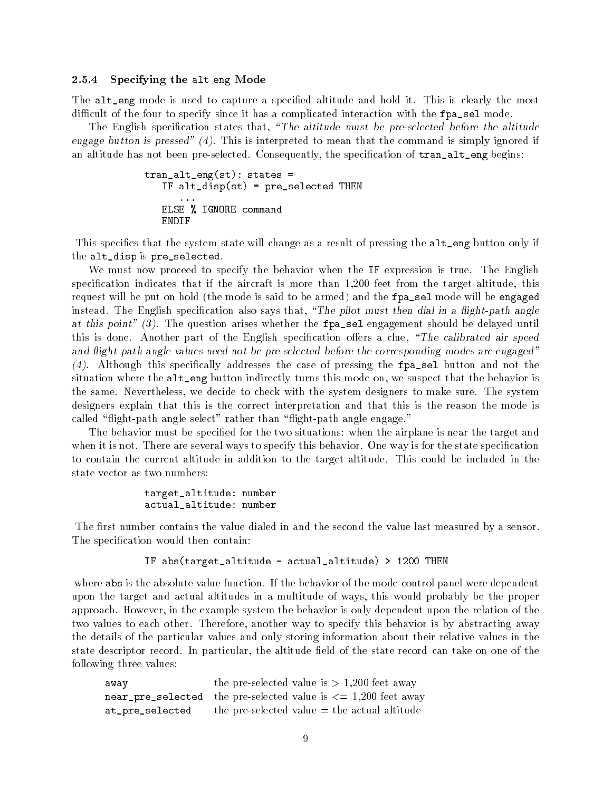#### 2.5.4 Specifying the alt\_eng Mode

The alt\_eng mode is used to capture a specified altitude and hold it. This is clearly the most difficult of the four to specify since it has a complicated interaction with the fpa\_sel mode.

The English specification states that, "The altitude must be pre-selected before the altitude engage button is pressed" (4). This is interpreted to mean that the command is simply ignored if an altitude has not been pre-selected. Consequently, the specification of  $tran\_alt\_eng$  begins:

```
tran_alt_eng(st): states =
  IF alt_disp(st) = pre_selected THEN
  ELSE % IGNORE command
  ENDIF
```
This specifies that the system state will change as a result of pressing the alt\_eng button only if the alt\_disp is pre\_selected.

We must now proceed to specify the behavior when the IF expression is true. The English specification indicates that if the aircraft is more than 1,200 feet from the target altitude, this request will be put on hold (the mode is said to be armed) and the fpa\_sel mode will be engaged instead. The English specification also says that, "The pilot must then dial in a flight-path angle at this point" (3). The question arises whether the fpa\_sel engagement should be delayed until this is done. Another part of the English specification offers a clue, "The calibrated air speed and flight-path angle values need not be pre-selected before the corresponding modes are engaged" (4). Although this specically addresses the case of pressing the fpa\_sel button and not the situation where the alt\_eng button indirectly turns this mode on, we suspect that the behavior is the same. Nevertheless, we decide to check with the system designers to make sure. The system designers explain that this is the correct interpretation and that this is the reason the mode is called "flight-path angle select" rather than "flight-path angle engage."

The behavior must be specied for the two situations: when the airplane is near the target and when it is not. There are several ways to specify this behavior. One way is for the state specification to contain the current altitude in addition to the target altitude. This could be included in the state vector as two numbers:

```
target_altitude: number
actual_altitude: number
```
The first number contains the value dialed in and the second the value last measured by a sensor. The specification would then contain:

IF abs(target\_altitude - actual\_altitude) > 1200 THEN

where abs is the absolute value function. If the behavior of the mode-control panel were dependent upon the target and actual altitudes in a multitude of ways, this would probably be the proper approach. However, in the example system the behavior is only dependent upon the relation of the two values to each other. Therefore, another way to specify this behavior is by abstracting away the details of the particular values and only storing information about their relative values in the state descriptor record. In particular, the altitude field of the state record can take on one of the following three values:

| away            | the pre-selected value is $> 1,200$ feet away                      |
|-----------------|--------------------------------------------------------------------|
|                 | near_pre_selected the pre-selected value is $\lt=$ 1,200 feet away |
| at_pre_selected | the pre-selected value $=$ the actual altitude                     |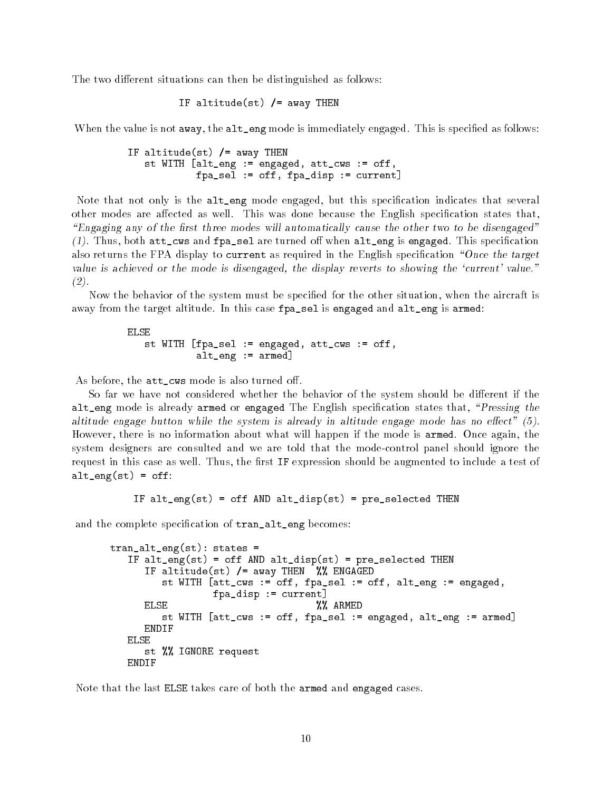The two different situations can then be distinguished as follows:

```
IF altitude(st) /= away THEN
```
When the value is not away, the alt\_eng mode is immediately engaged. This is specified as follows:

```
IF altitude(st) /= away THEN
   st WITH [alt_eng := engaged, att_cws := off,
            fpa_sel := off, fpa_disp := current]
```
Note that not only is the alt\_eng mode engaged, but this specification indicates that several other modes are affected as well. This was done because the English specification states that, "Engaging any of the first three modes will automatically cause the other two to be disengaged"  $(1)$ . Thus, both att\_cws and fpa\_sel are turned off when alt\_eng is engaged. This specification also returns the FPA display to current as required in the English specification "Once the target value is achieved or the mode is disengaged, the display reverts to showing the `current' value."  $(2)$ .<br>Now the behavior of the system must be specified for the other situation, when the aircraft is

away from the target altitude. In this case fpa\_sel is engaged and alt\_eng is armed:

ELSE st WITH [fpa\_sel := engaged, att\_cws := off, alt\_eng := armed]

As before, the att\_cws mode is also turned off.

So far we have not considered whether the behavior of the system should be different if the alt\_eng mode is already armed or engaged The English specification states that, "Pressing the altitude engage button while the system is already in altitude engage mode has no effect"  $(5)$ . However, there is no information about what will happen if the mode is armed. Once again, the system designers are consulted and we are told that the mode-control panel should ignore the request in this case as well. Thus, the first IF expression should be augmented to include a test of  $alt\_eng(st) = off$ :

IF alt\_eng(st) = off AND alt\_disp(st) = pre\_selected THEN

and the complete specification of  $tran\_alt\_eng$  becomes:

```
tran_alt_eng(st): states =
  IF alt_eng(st) = off AND alt_disp(st) = pre_selected THEN
     IF altitude(st) /= away THEN %% ENGAGED
        st WITH [att_cws := off, fpa_sel := off, alt_eng := engaged,
                fpa_disp := current]
     ELSE %% ARMED
        st WITH [att_cws := off, fpa_sel := engaged, alt_eng := armed]
     ENDIF
     st %% IGNORE request
  ENDIF
```
Note that the last ELSE takes care of both the armed and engaged cases.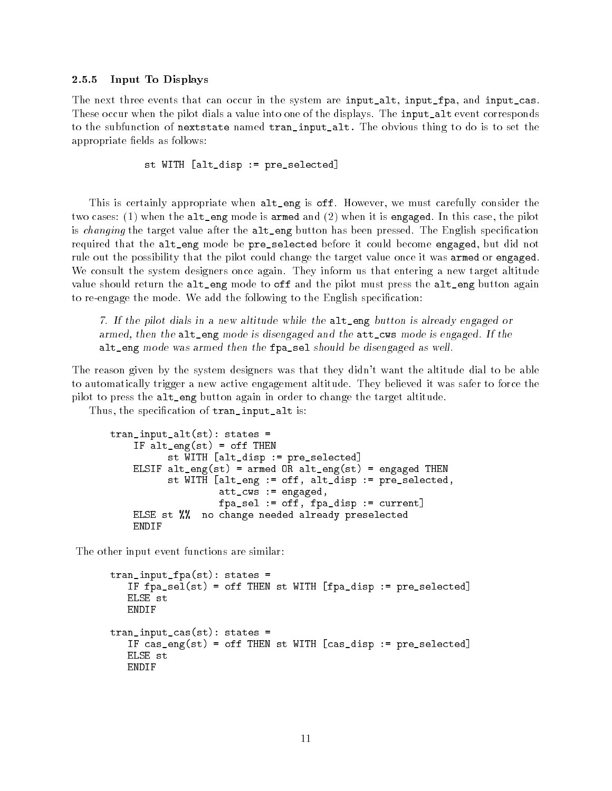#### 2.5.5 Input To Displays

The next three events that can occur in the system are input\_alt, input\_fpa, and input\_cas. These occur when the pilot dials a value into one of the displays. The input\_alt event corresponds to the subfunction of nextstate named tran\_input\_alt. The obvious thing to do is to set the appropriate fields as follows:

st WITH [alt\_disp := pre\_selected]

This is certainly appropriate when alt\_eng is off. However, we must carefully consider the two cases: (1) when the alt\_eng mode is armed and (2) when it is engaged. In this case, the pilot is changing the target value after the alt\_eng button has been pressed. The English specification required that the alt\_eng mode be pre\_selected before it could become engaged, but did not rule out the possibility that the pilot could change the target value once it was armed or engaged. We consult the system designers once again. They inform us that entering a new target altitude value should return the alt\_eng mode to off and the pilot must press the alt\_eng button again to re-engage the mode. We add the following to the English specification:

7. If the pilot dials in a new altitude while the alt\_eng button is already engaged or armed, then the alt\_eng mode is disengaged and the att\_cws mode is engaged. If the alt\_eng mode was armed then the fpa\_sel should be disengaged as well.

The reason given by the system designers was that they didn't want the altitude dial to be able to automatically trigger a new active engagement altitude. They believed it was safer to force the pilot to press the alt\_eng button again in order to change the target altitude.

Thus, the specification of tran\_input\_alt is:

```
tran_input_alt(st): states =
    IF alt_eng(st) = off THEN
          st WITH [alt_disp := pre_selected]
    ELSIF alt_eng(st) = armed OR alt_eng(st) = engaged THEN
          st WITH [alt_eng := off, alt_disp := pre_selected,
                   att_cws := engaged,
                   fpa_sel := off, fpa_disp := current]
    ELSE st %% no change needed already preselected
    ENDIF
```
The other input event functions are similar:

```
tran_input_fpa(st): states =
   IF fpa_sel(st) = off THEN st WITH [fpa_disp := pre_selected]
   ELSE st
  ENDIF
tran_input_cas(st): states =
   IF cas_eng(st) = off THEN st WITH [cas_disp := pre_selected]
  ELSE st
  ENDIF
```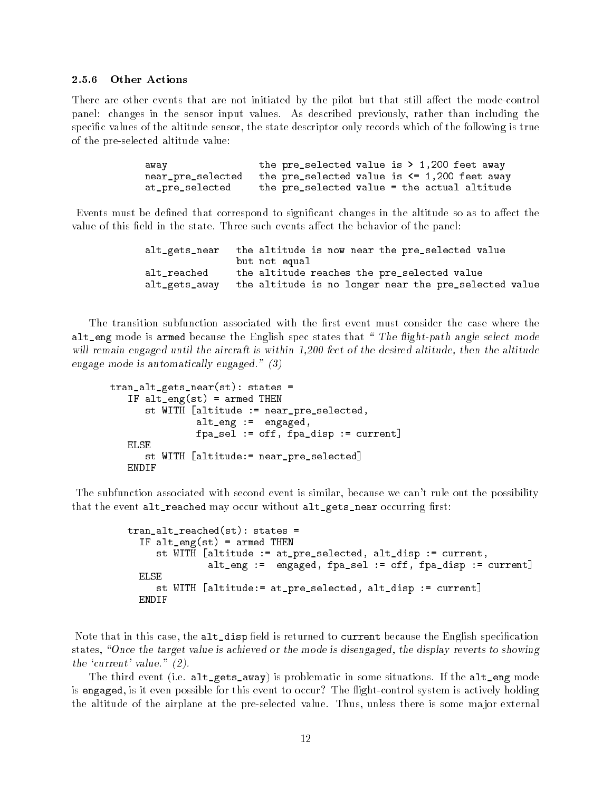#### Other Actions  $2.5.6$

There are other events that are not initiated by the pilot but that still affect the mode-control panel: changes in the sensor input values. As described previously, rather than including the specic values of the altitude sensor, the state descriptor only records which of the following is true of the pre-selected altitude value:

> the pre\_selected value is  $> 1,200$  feet away away near\_pre\_selected the pre\_selected value is <= 1,200 feet away at\_pre\_selected the pre\_selected value = the actual altitude

Events must be defined that correspond to significant changes in the altitude so as to affect the value of this field in the state. Three such events affect the behavior of the panel:

| alt_gets_near | the altitude is now near the pre_selected value       |
|---------------|-------------------------------------------------------|
|               | but not equal                                         |
| alt_reached   | the altitude reaches the pre_selected value           |
| alt_gets_away | the altitude is no longer near the pre_selected value |

The transition subfunction associated with the first event must consider the case where the alt\_eng mode is armed because the English spec states that "The flight-path angle select mode will remain engaged until the aircraft is within 1,200 feet of the desired altitude, then the altitude engage mode is automatically engaged." (3)

```
tran_alt_gets_near(st): states =
   IF alt_eng(st) = armed THEN
      st WITH [altitude := near_pre_selected,
               alt_eng := engaged,
               fpa_sel := off, fpa_disp := current]
  ELSE
      st WITH [altitude:= near_pre_selected]
  ENDIF
```
The subfunction associated with second event is similar, because we can't rule out the possibility that the event alt\_reached may occur without alt\_gets\_near occurring first:

```
tran_alt_reached(st): states =
  IF alt_eng(st) = armed THEN
     st WITH [altitude := at_pre_selected, alt_disp := current,
              alt_eng := engaged, fpa_sel := off, fpa_disp := current]
  ELSE
     st WITH [altitude:= at_pre_selected, alt_disp := current]
  ENDIF
```
Note that in this case, the alt\_disp field is returned to current because the English specification states, "Once the target value is achieved or the mode is disengaged, the display reverts to showing the 'current' value."  $(2)$ .

The third event (i.e. alt\_gets\_away) is problematic in some situations. If the alt\_eng mode is engaged, is it even possible for this event to occur? The 
ight-control system is actively holding the altitude of the airplane at the pre-selected value. Thus, unless there is some ma jor external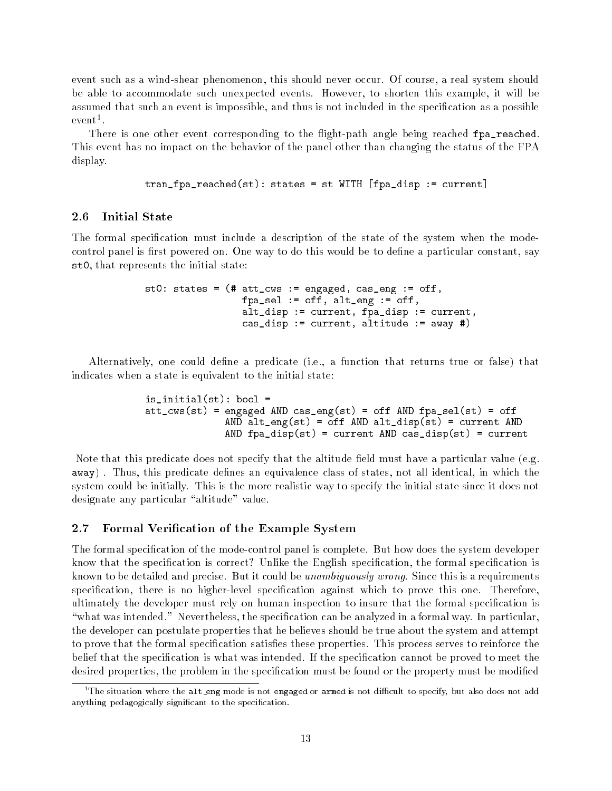event such as a wind-shear phenomenon, this should never occur. Of course, a real system should be able to accommodate such unexpected events. However, to shorten this example, it will be assumed that such an event is impossible, and thus is not included in the specification as a possible event 1 .

There is one other event corresponding to the flight-path angle being reached fpa\_reached This event has no impact on the behavior of the panel other than changing the status of the FPA display.

tran\_fpa\_reached(st): states = st WITH [fpa\_disp := current]

#### 2.6 Initial State

The formal specification must include a description of the state of the system when the modecontrol panel is first powered on. One way to do this would be to define a particular constant, say st0, that represents the initial state:

```
st0: states = (# att_cws := engaged, cas_eng := off,
                 fpa_sel := off, alt_eng := off,
                 alt_disp := current, fpa_disp := current,
                 cas_disp := current, altitude := away #)
```
Alternatively, one could dene a predicate (i.e., a function that returns true or false) that indicates when a state is equivalent to the initial state:

```
is_initial(st): bool =
att_cws(st) = engaged AND cas_eng(st) = off AND fpa_sel(st) = off
              AND alt_eng(st) = off AND alt_disp(st) = current AND
              AND fpa_disp(st) = current AND cas_disp(st) = current
```
Note that this predicate does not specify that the altitude field must have a particular value (e.g. away). Thus, this predicate defines an equivalence class of states, not all identical, in which the system could be initially. This is the more realistic way to specify the initial state since it does not designate any particular "altitude" value.

### 2.7 Formal Verification of the Example System

The formal specification of the mode-control panel is complete. But how does the system developer know that the specication is correct? Unlike the English specication, the formal specication is known to be detailed and precise. But it could be *unambiguously wrong*. Since this is a requirements specification, there is no higher-level specification against which to prove this one. Therefore, ultimately the developer must rely on human inspection to insure that the formal specication is "what was intended." Nevertheless, the specification can be analyzed in a formal way. In particular, the developer can postulate properties that he believes should be true about the system and attempt to prove that the formal specification satisfies these properties. This process serves to reinforce the belief that the specification is what was intended. If the specification cannot be proved to meet the desired properties, the problem in the specification must be found or the property must be modified

 $^1\rm{The~situation~where~the~alt\_eng~mode$  is not engaged or armed is not difficult to specify, but also does not add anything pedagogically significant to the specification.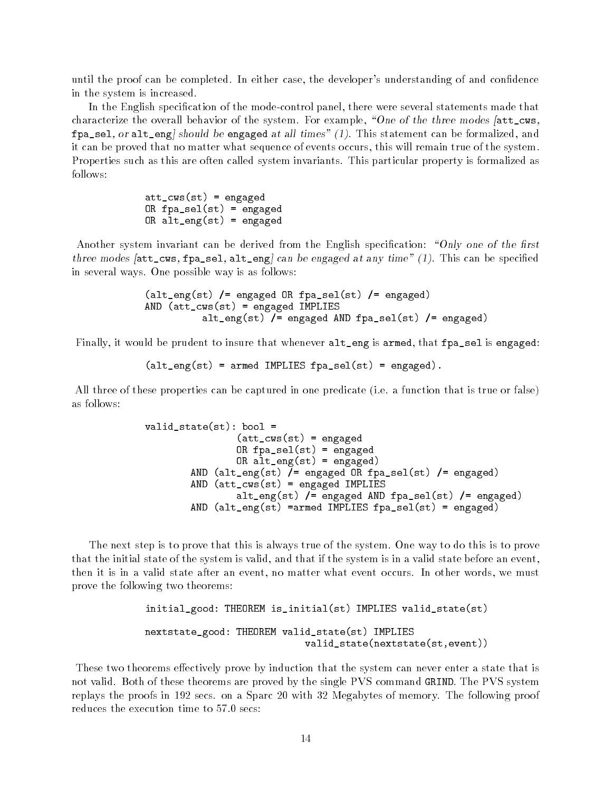until the proof can be completed. In either case, the developer's understanding of and confidence in the system is increased.

In the English specication of the mode-control panel, there were several statements made that characterize the overall behavior of the system. For example, "One of the three modes  $[$ att\_cws,  $fpa\_sel$ , or  $alt\_eng$  should be engaged at all times" (1). This statement can be formalized, and it can be proved that no matter what sequence of events occurs, this will remain true of the system. Properties such as this are often called system invariants. This particular property is formalized as follows:

> att\_cws(st) = engaged OR fpa\_sel(st) = engaged OR alt\_eng(st) = engaged

Another system invariant can be derived from the English specification: "Only one of the first three modes  $[\texttt{att\_cws}, \texttt{fp\_sel}, \texttt{alt\_eng}]$  can be engaged at any time" (1). This can be specified in several ways. One possible way is as follows:

```
(alt_eng(st) /= engaged OR fpa_sel(st) /= engaged)
AND (att_cws(st) = engaged IMPLIES
          alt_eng(st) /= engaged AND fpa_sel(st) /= engaged)
```
Finally, it would be prudent to insure that whenever alt\_eng is armed, that fpa\_sel is engaged:

 $(\text{alt\_eng}(\text{st}) = \text{armed IMPLIES}$  fpa\_sel(st) = engaged).

All three of these properties can be captured in one predicate (i.e. a function that is true or false) as follows:

```
valid\_state(st): bool =(\text{att\_cws(st)} = \text{engaged})OR fpa_sel(st) = engaged
                 OR alt_eng(st) = engaged)
        AND (alt_eng(st) /= engaged OR fpa_sel(st) /= engaged)
        AND (att_cws(st) = engaged IMPLIES
                 alt_eng(st) /= engaged AND fpa_sel(st) /= engaged)
        AND (alt_eng(st) =armed IMPLIES fpa_sel(st) = engaged)
```
The next step is to prove that this is always true of the system. One way to do this is to prove that the initial state of the system is valid, and that if the system is in a valid state before an event, then it is in a valid state after an event, no matter what event occurs. In other words, we must prove the following two theorems:

```
initial_good: THEOREM is_initial(st) IMPLIES valid_state(st)
nextstate_good: THEOREM valid_state(st) IMPLIES
                            valid_state(nextstate(st,event))
```
These two theorems effectively prove by induction that the system can never enter a state that is not valid. Both of these theorems are proved by the single PVS command GRIND. The PVS system replays the proofs in 192 secs. on a Sparc 20 with 32 Megabytes of memory. The following proof reduces the execution time to 57.0 secs: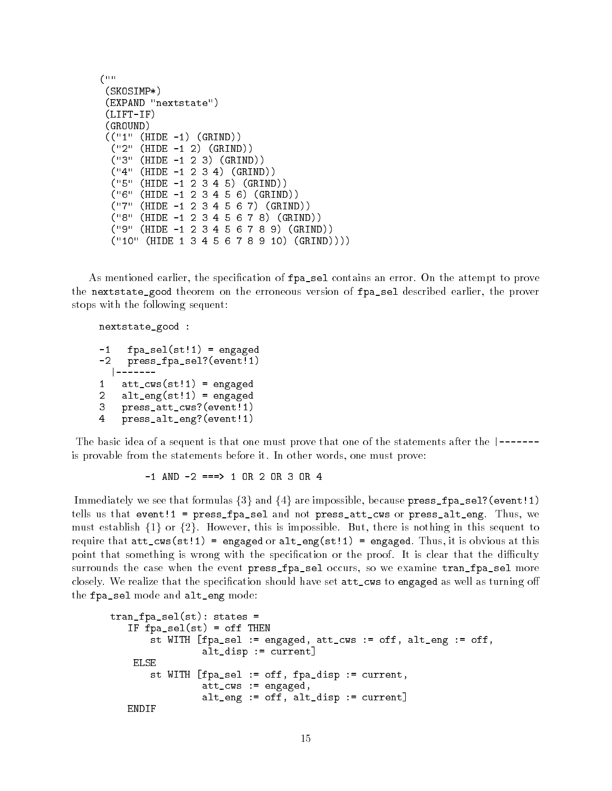```
(uu
(Construction of the construction of the construction of the construction of the construction of the construction of the construction of the construction of the construction of the construction of the construction of the c
 (SKOSIMP*)
 (EXPAND "nextstate")
 (LIFT-IF)
 (GROUND)
 (("1" (HIDE -1) (GRIND))
   ("2" (HIDE -1 2) (GRIND))
   ("3" (HIDE -1 2 3) (GRIND))
   ("4" (HIDE -1 2 3 4) (GRIND))
   ("5" (HIDE -1 2 3 4 5) (GRIND))
   ("6" (HIDE -1 2 3 4 5 6) (GRIND))
   ("7" (HIDE -1 2 3 4 5 6 7) (GRIND))
   ("8" (HIDE -1 2 3 4 5 6 7 8) (GRIND))
   ("9" (HIDE -1 2 3 4 5 6 7 8 9) (GRIND))
   ("10" (HIDE 1 3 4 5 6 7 8 9 10) (GRIND))))
```
As mentioned earlier, the specification of  $fpa$  sel contains an error. On the attempt to prove the nextstate\_good theorem on the erroneous version of fpa\_sel described earlier, the prover stops with the following sequent:

```
nextstate_good :
-1fpa\_sel(st!1) = engaged-2press_fpa_sel?(event!1)
  1 - 2 - 2 - 2|-------
\mathbf{1}att\_cws(st!1) = engaged\overline{2}alt\_eng(st!1) = engaged
     press_att_cws?(event!1)
3
\overline{4}4 press_alt_eng?(event!1)
```
The basic idea of a sequent is that one must prove that one of the statements after the  $\vert$ ------is provable from the statements before it. In other words, one must prove:

 $-1$  AND  $-2$  ===> 1 OR 2 OR 3 OR 4

Immediately we see that formulas  $\{3\}$  and  $\{4\}$  are impossible, because press\_fpa\_sel?(event!1) tells us that event!1 = press\_fpa\_sel and not press\_att\_cws or press\_alt\_eng. Thus, we must establish  $\{1\}$  or  $\{2\}$ . However, this is impossible. But, there is nothing in this sequent to require that  $att_cws(st!)$  = engaged or  $alt_ceng(st!)$  = engaged. Thus, it is obvious at this point that something is wrong with the specification or the proof. It is clear that the difficulty surrounds the case when the event press\_fpa\_sel occurs, so we examine tran\_fpa\_sel more closely. We realize that the specification should have set  $att\_cws$  to engaged as well as turning off the fpa\_sel mode and alt\_eng mode:

```
tran_fpa_sel(st): states =
   IF fpa_sel(st) = off THEN
       st WITH [fpa_sel := engaged, att_cws := off, alt_eng := off,
                alt_disp := current]
   FLSE
       st WITH [fpa_sel := off, fpa_disp := current,
                att_cws := engaged,
                alt_eng := off, alt_disp := current]
  ENDIF
```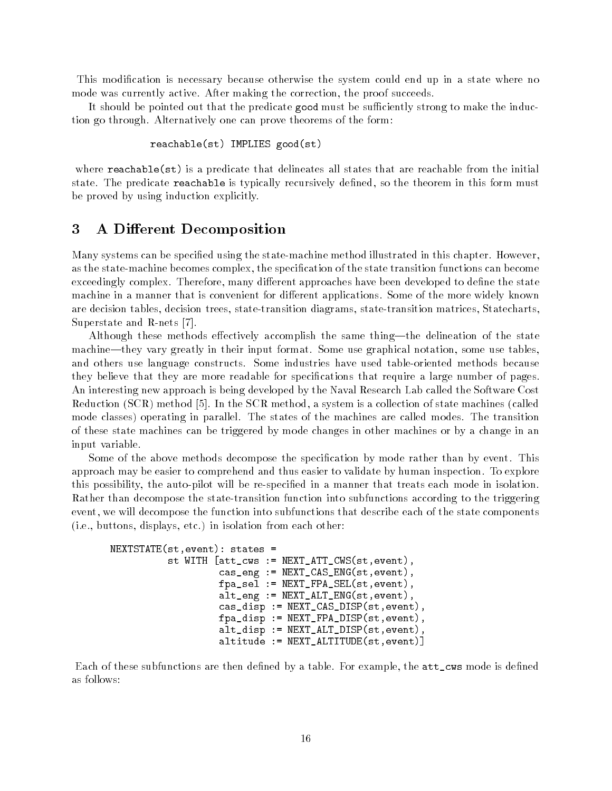This modication is necessary because otherwise the system could end up in a state where no mode was currently active. After making the correction, the proof succeeds.

It should be pointed out that the predicate good must be sufficiently strong to make the induction go through. Alternatively one can prove theorems of the form:

```
reachable(st) IMPLIES good(st)
```
where  $\texttt{reachable}(\texttt{st})$  is a predicate that delineates all states that are reachable from the initial state. The predicate reachable is typically recursively defined, so the theorem in this form must be proved by using induction explicitly.

## 3 A Different Decomposition

Many systems can be specied using the state-machine method illustrated in this chapter. However, as the state-machine becomes complex, the specification of the state transition functions can become exceedingly complex. Therefore, many different approaches have been developed to define the state machine in a manner that is convenient for different applications. Some of the more widely known are decision tables, decision trees, state-transition diagrams, state-transition matrices, Statecharts, Superstate and R-nets [7].

Although these methods effectively accomplish the same thing—the delineation of the state machine—they vary greatly in their input format. Some use graphical notation, some use tables, and others use language constructs. Some industries have used table-oriented methods because they believe that they are more readable for specications that require a large number of pages. An interesting new approach is being developed by the Naval Research Lab called the Software Cost Reduction (SCR) method [5]. In the SCR method, a system is a collection of state machines (called mode classes) operating in parallel. The states of the machines are called modes. The transition of these state machines can be triggered by mode changes in other machines or by a change in an input variable.

Some of the above methods decompose the specication by mode rather than by event. This approach may be easier to comprehend and thus easier to validate by human inspection. To explore this possibility, the auto-pilot will be re-specied in a manner that treats each mode in isolation. Rather than decompose the state-transition function into subfunctions according to the triggering event, we will decompose the function into subfunctions that describe each of the state components (i.e., buttons, displays, etc.) in isolation from each other:

```
NEXTSTATE(st,event): states =
          st WITH [att_cws := NEXT_ATT_CWS(st,event),
                   cas_eng := NEXT_CAS_ENG(st,event),
                   fpa_sel := NEXT_FPA_SEL(st,event),
                   alt_eng := NEXT_ALT_ENG(st,event),
                   cas_disp := NEXT_CAS_DISP(st,event),
                   fpa_disp := NEXT_FPA_DISP(st,event),
                   alt_disp := NEXT_ALT_DISP(st,event),
                   altitude := NEXT_ALTITUDE(st,event)]
```
Each of these subfunctions are then defined by a table. For example, the  $att\_cws$  mode is defined as follows: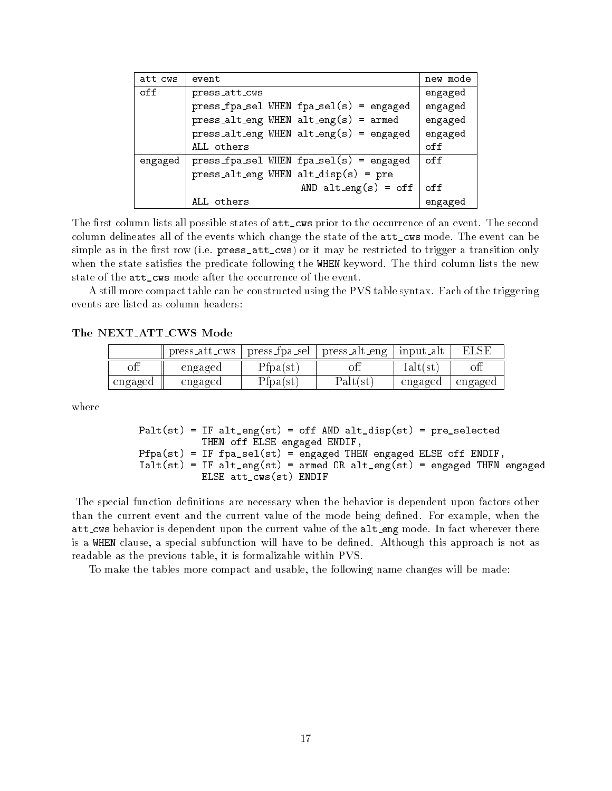| att_cws | event                                          | new mode |
|---------|------------------------------------------------|----------|
| off     | press_att_cws                                  | engaged  |
|         | $press\_fpa\_sel$ WHEN $fpa\_sel(s) = engaged$ | engaged  |
|         | $press\_alt\_eng$ WHEN $alt\_eng(s)$ = armed   | engaged  |
|         | $press$ alt_eng WHEN alt_eng(s) = engaged      | engaged  |
|         | ALL others                                     | off      |
| engaged | $pres\_fpa\_sel$ WHEN $fpa\_sel(s) = engaged$  | off      |
|         | $press$ alt_eng WHEN alt_disp(s) = pre         |          |
|         | AND $alt_{eng}(s) = off$                       | off      |
|         | ALL others                                     | engaged  |

The first column lists all possible states of  $att\_cws$  prior to the occurrence of an event. The second column delineates all of the events which change the state of the att\_cws mode. The event can be simple as in the first row (i.e. press\_att\_cws) or it may be restricted to trigger a transition only when the state satisfies the predicate following the WHEN keyword. The third column lists the new state of the att\_cws mode after the occurrence of the event.

A still more compact table can be constructed using the PVS table syntax. Each of the triggering events are listed as column headers:

The NEXT ATT CWS Mode

|         | press_att_cws | press_tpa_sel | press_alt_eng | input_alt    |         |
|---------|---------------|---------------|---------------|--------------|---------|
| οП      | engaged       | 'Ipa(st-      |               | laltt<br>C 1 | оn      |
| engaged | engaged       | tpa(st.       | Palt(st       | engaged      | engaged |

where

```
Palt(st) = IF alt_eng(st) = off AND alt_disp(st) = pre\_selectedTHEN off ELSE engaged ENDIF,
Pfpa(st) = IF fpa_sel(st) = engaged THEN engaged ELSE off ENDIF,
Ialt(st) = IF alt_eng(st) = armed OR alt_eng(st) = engaged THEN engagedELSE att_cws(st) ENDIF
```
The special function definitions are necessary when the behavior is dependent upon factors other than the current event and the current value of the mode being defined. For example, when the att\_cws behavior is dependent upon the current value of the alt\_eng mode. In fact wherever there is a WHEN clause, a special subfunction will have to be dened. Although this approach is not as readable as the previous table, it is formalizable within PVS.

To make the tables more compact and usable, the following name changes will be made: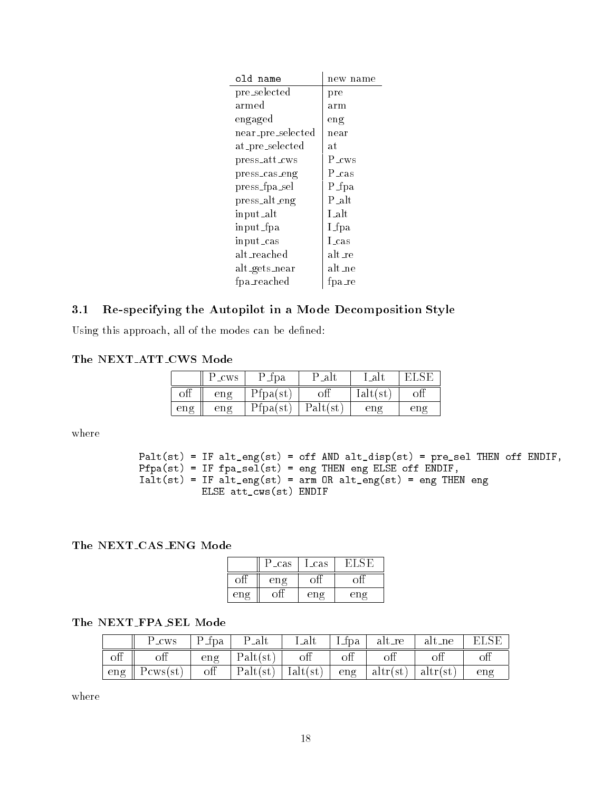| old name          | new name          |
|-------------------|-------------------|
| pre_selected      | pre               |
| armed             | arm               |
| engaged           | eng               |
| near_pre_selected | near              |
| at pre_selected   | at                |
| press_att_cws     | P <sub>_CWS</sub> |
| press_cas_eng     | P <sub>cas</sub>  |
| press_fpa_sel     | P_fpa             |
| press_alt_eng     | P_alt             |
| input_alt         | $L$ alt           |
| input_fpa         | I_fpa             |
| input_cas         | Lcas              |
| alt_reached       | alt_re            |
| alt_gets_near     | alt_ne            |
| fpa_reached       | fpa_re            |

# 3.1 Re-specifying the Autopilot in a Mode Decomposition Style

 $\overline{\phantom{a}}$ 

Using this approach, all of the modes can be defined:

The NEXT ATT CWS Mode

|     | $\sim$ CWS | _rpa                      | -al     | $\overline{a}$  |     |
|-----|------------|---------------------------|---------|-----------------|-----|
|     | eng        | 'tpa(                     |         | lal             |     |
| eng | eng        | $\pm$ 1pa(s <sup>t+</sup> | Palt(st | en <sub>0</sub> | eng |

where

```
Palt(st) = IF alt_eng(st) = off AND alt_disp(st) = pre_sel THEN off ENDIF,
Pfpa(st) = IF fpa_sel(st) = eng THEN eng ELSE off ENDIF,
If alternating \blacksquare and \blacksquare are array \blacksquare . Then engines are \blacksquareELSE att_cws(st) ENDIF
```
The NEXT CAS ENG Mode

|     | P_cas  | Lcas            |        |
|-----|--------|-----------------|--------|
|     | $en$ g |                 |        |
| eng |        | en <sub>2</sub> | $en$ g |

## The NEXT FPA SEL Mode

|            | $P_{\rm \perp CWS}$  |     | $ P_{\text{fpa}} $ $P_{\text{alt}}$                                                     | Lalt | $\Box$ I f p a $\Box$ | alt_re alt_ne |    |     |
|------------|----------------------|-----|-----------------------------------------------------------------------------------------|------|-----------------------|---------------|----|-----|
| $\circ$ ff | $\mathrm{off}$       | eng | Palt(st)                                                                                | off  | $\mathrm{off}$        | off           | oП | oп  |
| eng        | $\parallel$ Pcws(st) | off | $\vert$ Palt(st) $\vert$ Ialt(st) $\vert$ eng $\vert$ altr(st) $\vert$ altr(st) $\vert$ |      |                       |               |    | eng |

where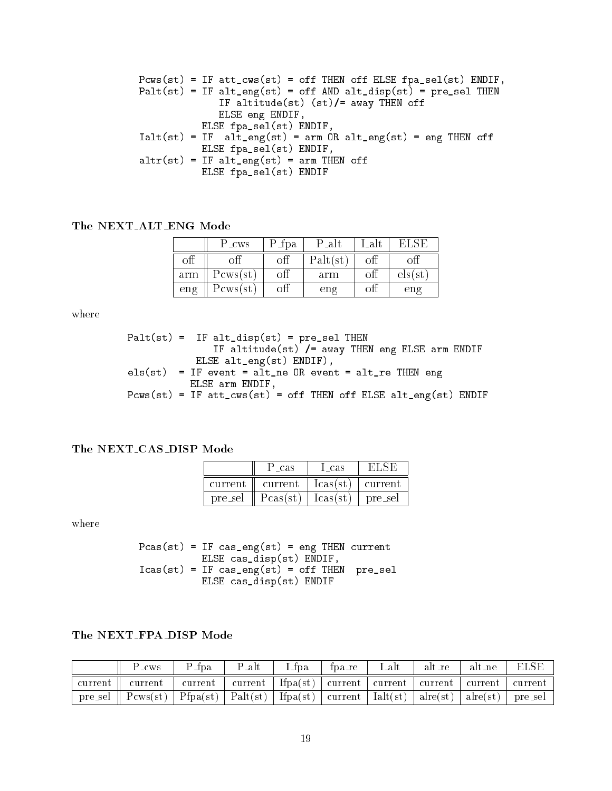Pcws(st) = IF att\_cws(st) = off THEN off ELSE fpa\_sel(st) ENDIF, Palt(st) = IF alt\_eng(st) = off AND alt\_disp(st) = pre\_sel THEN IF altitude(st) (st)/= away THEN off ELSE eng ENDIF, ELSE fpa\_sel(st) ENDIF, Ialt(st) = IF alt\_eng(st) = arm OR alt\_eng(st) = eng THEN off ELSE fpa\_sel(st) ENDIF, altr(st) = IF alt\_eng(st) = arm THEN off ELSE fpa\_sel(st) ENDIF

### The NEXT ALT ENG Mode

|     | P_cws             | P 1pa | P_alt    | $\bullet$ |              |
|-----|-------------------|-------|----------|-----------|--------------|
|     |                   |       | Palt(st) |           |              |
| arm | $P_{\rm cws(st)}$ | оħ    | arm      |           | els (st      |
| eng | Pcws(st-          |       | eng      |           | $_{\rm eng}$ |

where

```
Palt(st) = IF alt\_disp(st) = pre\_sel THENIF altitude(st) /= away THEN eng ELSE arm ENDIF
              ELSE alt_eng(st) ENDIF),
els(st) = IF event = alt_ne OR event = alt_re THEN eng
             ELSE arm ENDIF,
Pc at the IF at the IF at the off THEN of THE \alpha alternative ELSE alternative ELSE alternative ELSE alternative E
```
### The NEXT CAS DISP Mode

|         | ' cas   | - cas   |         |  |
|---------|---------|---------|---------|--|
| current | current | lcasts: | current |  |
| pre_sel | Pcas(st | l cas ( | pre_sel |  |

where

 $Pcas(st) = IF cas\_eng(st) = eng THEN current$ ELSE cas\_disp(st) ENDIF, Icas (step  $\blacksquare$  if  $\blacksquare$  ) and the off Then pre-selection  $\blacksquare$  . Only the off Theorem pre-selection  $\blacksquare$ ELSE cas\_disp(st) ENDIF

### The NEXT FPA DISP Mode

| P_cws                                                                                                                                                                     | $\mathcal{L}$ fpa | P alt | Lfpa | fpa_re | Lalt | alt_re | alt_ne | ELSE |
|---------------------------------------------------------------------------------------------------------------------------------------------------------------------------|-------------------|-------|------|--------|------|--------|--------|------|
| current    current   current   current   Ifpa(st)   current   current   current   current   current                                                                       |                   |       |      |        |      |        |        |      |
| pre_sel    $P{\rm cws(st)}$   $P{\rm fpa(st)}$   $P{\rm alt(st)}$   ${\rm Ifpa(st)}$   current   ${\rm lat(st)}$   ${\rm alre(st)}$   ${\rm alre(st)}$   ${\rm pre\_sel}$ |                   |       |      |        |      |        |        |      |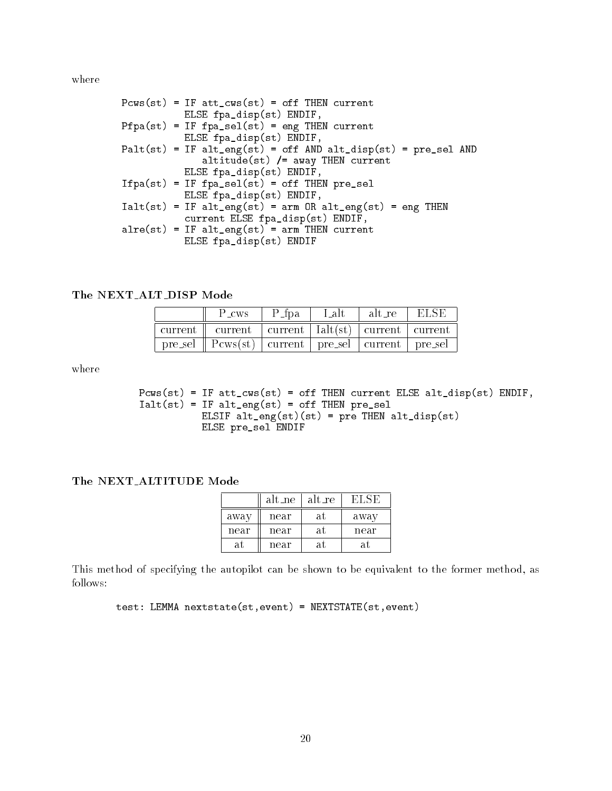where

| $Pcws(st) = IF att_cws(st) = off THEN current$                                     |
|------------------------------------------------------------------------------------|
| ELSE fpa_disp(st) ENDIF,                                                           |
| $Pfpa(st) = IF fpa_sel(st) = eng THEN current$                                     |
| ELSE fpa_disp(st) ENDIF,                                                           |
| $Path(st) = IF alt_{eng(st)} = off AND alt\_disp(st) = pre\_sel AND$               |
| $altitude(st)$ /= $away$ THEN current                                              |
| ELSE fpa_disp(st) ENDIF,                                                           |
| $Ifpa(st) = IF fpa_sel(st) = off THEN pre_sel$                                     |
| ELSE fpa_disp(st) ENDIF,                                                           |
| $Ialt(st) = IF alt_{eng(st)} = arm OR alt_{eng(st)} = eng THEN$                    |
| current ELSE fpa_disp(st) ENDIF,                                                   |
| $\text{alre}(\text{st}) = \text{IF alt\_eng}(\text{st}) = \text{arm THEN current}$ |
| ELSE fpa_disp(st) ENDIF                                                            |
|                                                                                    |

The NEXT ALT DISP Mode

|          | P_cws                                                       | lar 1 d | -t ah. | alt re |  |
|----------|-------------------------------------------------------------|---------|--------|--------|--|
| -current | current   current   lalt(st)   current   current            |         |        |        |  |
|          | pre_sel    Pcws(st)   current   pre_sel   current   pre_sel |         |        |        |  |

where

Pcws(st) = IF att\_cws(st) = off THEN current ELSE alt\_disp(st) ENDIF,  $Ialt(st) = IF alt_eng(st) = off THEN pre_sel$ ELSIF alt\_eng(st)(st) = pre THEN alt\_disp(st) ELSE pre\_sel ENDIF

### The NEXT ALTITUDE Mode

|      | alt_ne | alt_re | EI S |  |
|------|--------|--------|------|--|
| away | near   | at     | away |  |
| near | near   | at     | near |  |
| al   | near   | at     | аT   |  |

This method of specifying the autopilot can be shown to be equivalent to the former method, as follows:

test: LEMMA nextstate(st,event) = NEXTSTATE(st,event)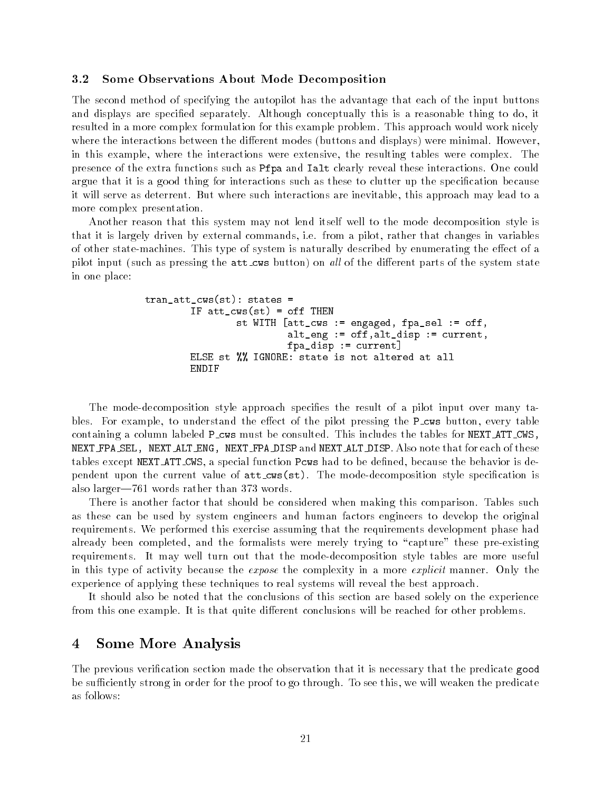#### Some Observations About Mode Decomposition  $3.2$

The second method of specifying the autopilot has the advantage that each of the input buttons and displays are specified separately. Although conceptually this is a reasonable thing to do, it resulted in a more complex formulation for this example problem. This approach would work nicely where the interactions between the different modes (buttons and displays) were minimal. However, in this example, where the interactions were extensive, the resulting tables were complex. The presence of the extra functions such as Pfpa and Ialt clearly reveal these interactions. One could argue that it is a good thing for interactions such as these to clutter up the specification because it will serve as deterrent. But where such interactions are inevitable, this approach may lead to a more complex presentation.

Another reason that this system may not lend itself well to the mode decomposition style is that it is largely driven by external commands, i.e. from a pilot, rather that changes in variables of other state-machines. This type of system is naturally described by enumerating the effect of a pilot input (such as pressing the **att\_cws** button) on all of the different parts of the system state in one place:

```
tran_att_cws(st): states =
        IF att\_cws(st) = off THEN
                st WITH [att_cws := engaged, fpa_sel := off,
                         alt_eng := off,alt_disp := current,
                         fpa_disp := current]
        ELSE st %% IGNORE: state is not altered at all
        ENDIF
```
The mode-decomposition style approach species the result of a pilot input over many tables. For example, to understand the effect of the pilot pressing the **P**\_cws button, every table containing a column labeled P cws must be consulted. This includes the tables for NEXT ATT CWS, NEXT FPA SEL, NEXT ALT ENG, NEXT FPA DISP and NEXT ALT DISP. Also note that for each of these tables except NEXT\_ATT\_CWS, a special function Pcws had to be defined, because the behavior is dependent upon the current value of att\_cws(st). The mode-decomposition style specification is also larger-761 words rather than 373 words.

There is another factor that should be considered when making this comparison. Tables such as these can be used by system engineers and human factors engineers to develop the original requirements. We performed this exercise assuming that the requirements development phase had already been completed, and the formalists were merely trying to "capture" these pre-existing requirements. It may well turn out that the mode-decomposition style tables are more useful in this type of activity because the *expose* the complexity in a more *explicit* manner. Only the experience of applying these techniques to real systems will reveal the best approach.

It should also be noted that the conclusions of this section are based solely on the experience from this one example. It is that quite different conclusions will be reached for other problems.

# 4 Some More Analysis

The previous verication section made the observation that it is necessary that the predicate good be sufficiently strong in order for the proof to go through. To see this, we will weaken the predicate as follows: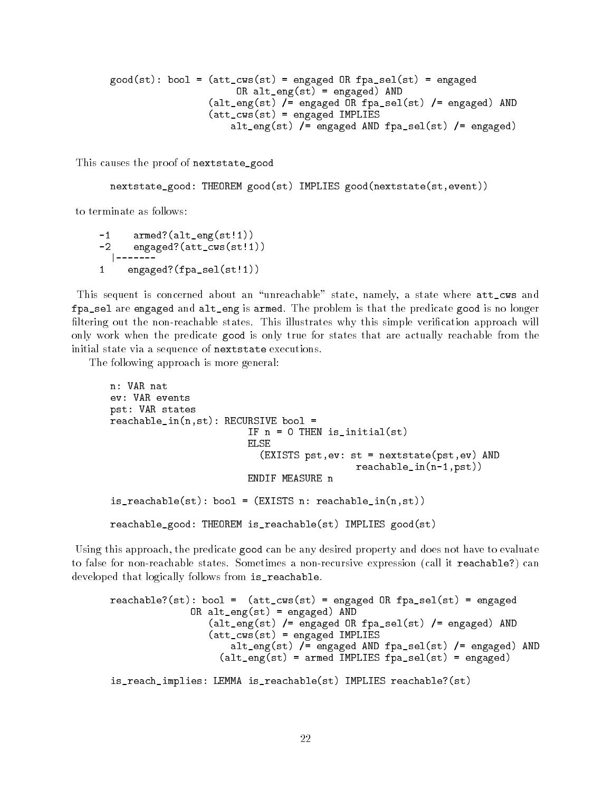```
good(st): bool = (att_cws(st) = engaged OR fpa_sel(st) = engaged
                      OR alt_eng(st) = engaged) AND
                 (alt_eng(st) /= engaged OR fpa_sel(st) /= engaged) AND
                 (att_cws(st) = engaged IMPLIES
                     alt_eng(st) /= engaged AND fpa_sel(st) /= engaged)
```
This causes the proof of nextstate\_good

```
nextstate_good: THEOREM good(st) IMPLIES good(nextstate(st,event))
```
to terminate as follows:

```
-1armed?(alt_eng(st!1))
-2 engaged?(att_cws(st!1))<br>|-------
  |-------
      engaged?(fpa_sel(st!1))
\mathbf{1}
```
This sequent is concerned about an "unreachable" state, namely, a state where att\_cws and fpa\_sel are engaged and alt\_eng is armed. The problem is that the predicate good is no longer filtering out the non-reachable states. This illustrates why this simple verification approach will only work when the predicate good is only true for states that are actually reachable from the initial state via a sequence of nextstate executions.

The following approach is more general:

```
n: VAR nat
ev: VAR events
pst: VAR states
reachable_in(n,st): RECURSIVE bool =
                        IF n = 0 THEN is_initial(st)
                          (EXISTS pst,ev: st = nextstate(pst,ev) AND
                                           reachable_in(n-1,pst))
is_reachable(st): bool = (EXISTS n: reachable_in(n,st))
reachable_good: THEOREM is_reachable(st) IMPLIES good(st)
```
Using this approach, the predicate good can be any desired property and does not have to evaluate to false for non-reachable states. Sometimes a non-recursive expression (call it reachable?) can developed that logically follows from is\_reachable.

```
reachable?(st): bool = (att_cws(st) = engaged OR fpa_sel(st) = engaged
              OR alt_eng(st) = engaged) AND
                 (alt_eng(st) /= engaged OR fpa_sel(st) /= engaged) AND
                 (att_cws(st) = engaged IMPLIES
                     alt_eng(st) /= engaged AND fpa_sel(st) /= engaged) AND
                   (alt_eng(st) = armed IMPLIES fpa_sel(st) = engaged)
is_reach_implies: LEMMA is_reachable(st) IMPLIES reachable?(st)
```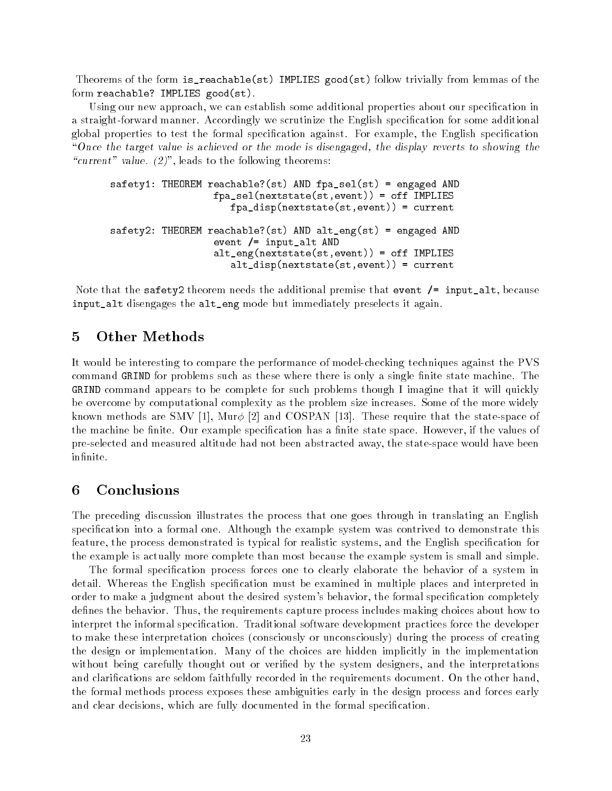Theorems of the form is\_reachable(st) IMPLIES good(st) follow trivially from lemmas of the form reachable? IMPLIES good(st).

Using our new approach, we can establish some additional properties about our specication in a straight-forward manner. Accordingly we scrutinize the English specification for some additional global properties to test the formal specication against. For example, the English specication "Once the target value is achieved or the mode is disengaged, the display reverts to showing the "current" value.  $(2)$ ", leads to the following theorems:

```
safety1: THEOREM reachable?(st) AND fpa_sel(st) = engaged AND
                  fpa_sel(nextstate(st,event)) = off IMPLIES
                     fpa_disp(nextstate(st,event)) = current
safety2: THEOREM reachable?(st) AND alt_eng(st) = engaged AND
                  event /= input_alt AND
                  alt_eng(nextstate(st,event)) = off IMPLIES
                     alt_disp(nextstate(st,event)) = current
```
Note that the safety2 theorem needs the additional premise that event /= input\_alt, because input\_alt disengages the alt\_eng mode but immediately preselects it again.

#### 5 **Other Methods**

It would be interesting to compare the performance of model-checking techniques against the PVS command GRIND for problems such as these where there is only a single finite state machine. The GRIND command appears to be complete for such problems though I imagine that it will quickly be overcome by computational complexity as the problem size increases. Some of the more widely known methods are SMV [1], Mur $\phi$  [2] and COSPAN [13]. These require that the state-space of the machine be finite. Our example specification has a finite state space. However, if the values of pre-selected and measured altitude had not been abstracted away, the state-space would have been infinite.

## 6

The preceding discussion illustrates the process that one goes through in translating an English specication into a formal one. Although the example system was contrived to demonstrate this feature, the process demonstrated is typical for realistic systems, and the English specication for the example is actually more complete than most because the example system is small and simple.

The formal specification process forces one to clearly elaborate the behavior of a system in detail. Whereas the English specification must be examined in multiple places and interpreted in order to make a judgment about the desired system's behavior, the formal specification completely defines the behavior. Thus, the requirements capture process includes making choices about how to interpret the informal specication. Traditional software development practices force the developer to make these interpretation choices (consciously or unconsciously) during the process of creating the design or implementation. Many of the choices are hidden implicitly in the implementation without being carefully thought out or veried by the system designers, and the interpretations and clarications are seldom faithfully recorded in the requirements document. On the other hand, the formal methods process exposes these ambiguities early in the design process and forces early and clear decisions, which are fully documented in the formal specification.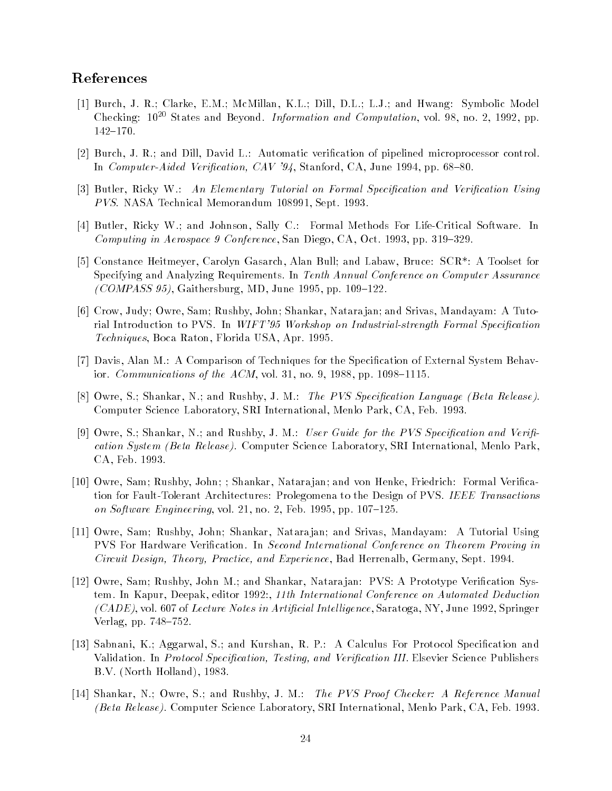# References

- [1] Burch, J. R.; Clarke, E.M.; McMillan, K.L.; Dill, D.L.; L.J.; and Hwang: Symbolic Model Checking:  $10^{20}$  States and Beyond. *Information and Computation*, vol. 98, no. 2, 1992, pp. 142-170.
- [2] Burch, J. R.; and Dill, David L.: Automatic verification of pipelined microprocessor control. In *Computer-Aided Verification, CAV '94*, Stanford, CA, June 1994, pp. 68–80.
- [3] Butler, Ricky W.: An Elementary Tutorial on Formal Specification and Verification Using PVS. NASA Technical Memorandum 108991, Sept. 1993.
- [4] Butler, Ricky W.; and Johnson, Sally C.: Formal Methods For Life-Critical Software. In Computing in Aerospace 9 Conference, San Diego, CA, Oct. 1993, pp. 319–329.
- [5] Constance Heitmeyer, Carolyn Gasarch, Alan Bull; and Labaw, Bruce: SCR\*: A Toolset for Specifying and Analyzing Requirements. In Tenth Annual Conference on Computer Assurance  $(COMPASS 95)$ , Gaithersburg, MD, June 1995, pp. 109-122.
- [6] Crow, Judy; Owre, Sam; Rushby, John; Shankar, Natara jan; and Srivas, Mandayam: A Tutorial Introduction to PVS. In WIFT'95 Workshop on Industrial-strength Formal Specification Techniques, Boca Raton, Florida USA, Apr. 1995.
- [7] Davis, Alan M.: A Comparison of Techniques for the Specication of External System Behavior. *Communications of the ACM*, vol. 31, no. 9, 1988, pp. 1098-1115.
- [8] Owre, S.; Shankar, N.; and Rushby, J. M.: The PVS Specification Language (Beta Release). Computer Science Laboratory, SRI International, Menlo Park, CA, Feb. 1993.
- [9] Owre, S.; Shankar, N.; and Rushby, J. M.: User Guide for the PVS Specification and Verification System (Beta Release). Computer Science Laboratory, SRI International, Menlo Park, CA, Feb. 1993.
- [10] Owre, Sam; Rushby, John; ; Shankar, Natara jan; and von Henke, Friedrich: Formal Verication for Fault-Tolerant Architectures: Prolegomena to the Design of PVS. IEEE Transactions on Software Engineering, vol. 21, no. 2, Feb. 1995, pp.  $107–125$ .
- [11] Owre, Sam; Rushby, John; Shankar, Natara jan; and Srivas, Mandayam: A Tutorial Using PVS For Hardware Verication. In Second International Conference on Theorem Proving in Circuit Design, Theory, Practice, and Experience, Bad Herrenalb, Germany, Sept. 1994.
- [12] Owre, Sam; Rushby, John M.; and Shankar, Natara jan: PVS: A Prototype Verication System. In Kapur, Deepak, editor 1992:, 11th International Conference on Automated Deduction  $(CADE)$ , vol. 607 of Lecture Notes in Artificial Intelligence, Saratoga, NY, June 1992, Springer Verlag, pp.  $748-752$ .
- [13] Sabnani, K.; Aggarwal, S.; and Kurshan, R. P.: A Calculus For Protocol Specication and Validation. In Protocol Specification, Testing, and Verification III. Elsevier Science Publishers B.V. (North Holland), 1983.
- [14] Shankar, N.; Owre, S.; and Rushby, J. M.: The PVS Proof Checker: A Reference Manual (Beta Release). Computer Science Laboratory, SRI International, Menlo Park, CA, Feb. 1993.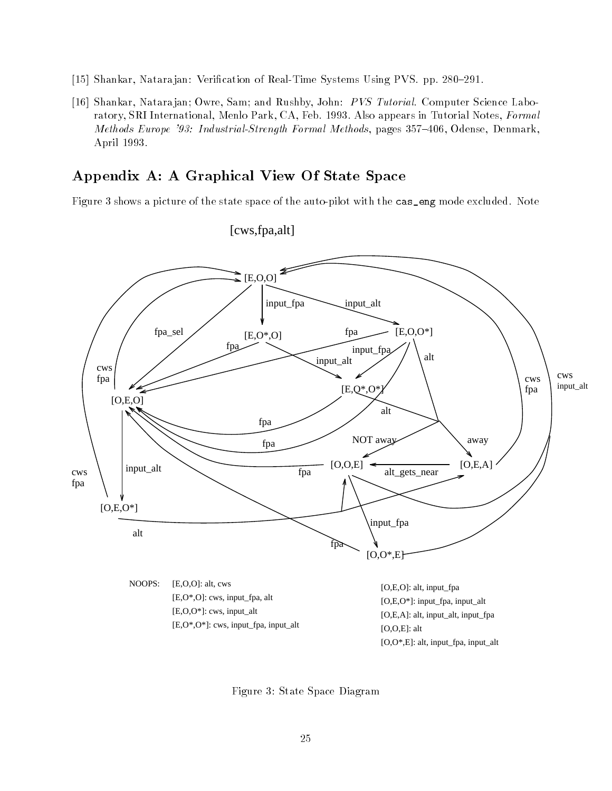- [15] Shankar, Natarajan: Verification of Real-Time Systems Using PVS. pp. 280-291.
- [16] Shankar, Natarajan; Owre, Sam; and Rushby, John: PVS Tutorial. Computer Science Laboratory, SRI International, Menlo Park, CA, Feb. 1993. Also appears in Tutorial Notes, Formal Methods Europe '93: Industrial-Strength Formal Methods, pages 357-406, Odense, Denmark, April 1993.

# Appendix A: A Graphical View Of State Space

Figure 3 shows a picture of the state space of the auto-pilot with the cas\_eng mode excluded. Note



# [cws,fpa,alt]

Figure 3: State Space Diagram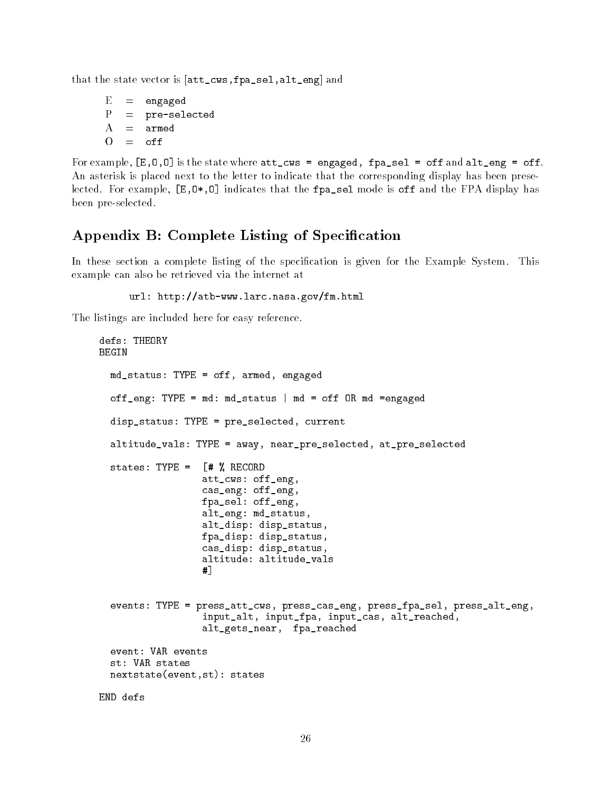that the state vector is [att\_cws,fpa\_sel,alt\_eng] and

```
E
       =engaged
\mathbf{P}pre-selected
       \overline{\phantom{m}}\mathbf{A}armed
       =
```
For example,  $[E, 0, 0]$  is the state where  $att\_cws =$  engaged, fpa\_sel = off and  $alt\_eng =$  off. An asterisk is placed next to the letter to indicate that the corresponding display has been preselected. For example,  $[E,0*,0]$  indicates that the fpa\_sel mode is off and the FPA display has been pre-selected.

# Appendix B: Complete Listing of Specification

In these section a complete listing of the specification is given for the Example System. This example can also be retrieved via the internet at

url: http://atb-www.larc.nasa.gov/fm.html

The listings are included here for easy reference.

```
defs: THEORY
BEGIN
  md_status: TYPE = off, armed, engaged
  off_eng: TYPE = md: md_status | md = off OR md =engaged
  disp_status: TYPE = pre_selected, current
  altitude_vals: TYPE = away, near_pre_selected, at_pre_selected
  states: TYPE = [# % RECORD
                  att_cws: off_eng,
                  cas_eng: off_eng,
                  fpa_sel: off_eng,
                  alt_eng: md_status,
                  alt_disp: disp_status,
                  fpa_disp: disp_status,
                  cas_disp: disp_status,
                  altitude: altitude_vals
                  #1#]
  events: TYPE = press_att_cws, press_cas_eng, press_fpa_sel, press_alt_eng,
                  input_alt, input_fpa, input_cas, alt_reached,
                  alt_gets_near, fpa_reached
  st: VAR states
  nextstate(event,st): states
END defs
```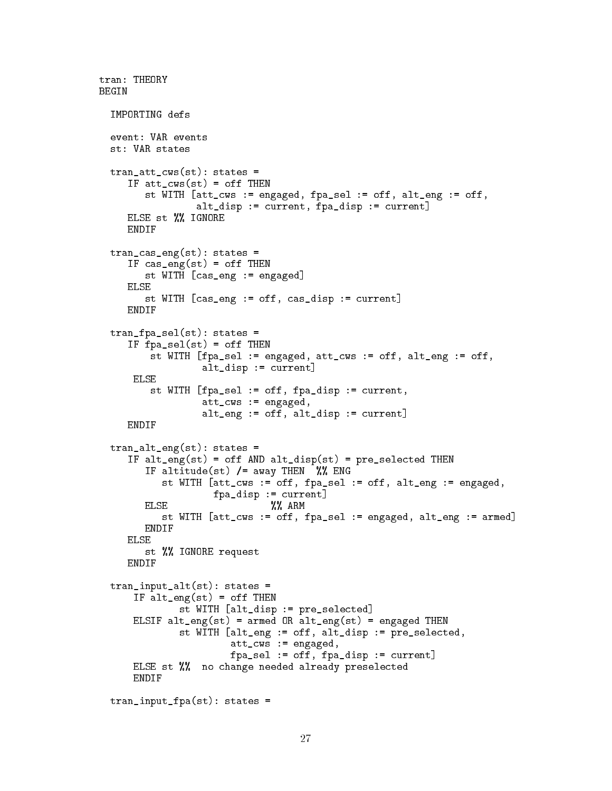```
tran: THEORY
BEGIN
  IMPORTING defs
  event: VAR events
  st: VAR states
  tran_att_cws(st): states =IF att_cws(st) = off THEN
        st WITH [att_cws := engaged, fpa_sel := off, alt_eng := off,
                 alt_disp := current, fpa_disp := current]
     ELSE st %% IGNORE
     ENDIF
  tran_cas_eng(st): states =
     IF cas_eng(st) = off THEN
        st WITH [cas_eng := engaged]
     ELSE
        st WITH [cas_eng := off, cas_disp := current]
     ENDIF
  tran_fpa_sel(st): states =
     IF fpa_sel(st) = off THEN
         st WITH [fpa_sel := engaged, att_cws := off, alt_eng := off,
                  alt_disp := current]
      ELSE
         st WITH [fpa_sel := off, fpa_disp := current,
                  att_cws := engaged,
                  alt_eng := off, alt_disp := current]
  tran_alt_eng(st): states =
     IF alt_eng(st) = off AND alt_disp(st) = pre_selected THEN
        IF altitude(st) / = away THEN %% ENG
           st WITH [att_cws := off, fpa_sel := off, alt_eng := engaged,
                    fpa_disp := current]
        ELSE
        \blacksquare and \blacksquare are the set of \blacksquarest WITH [att_cws := off, fpa_sel := engaged, alt_eng := armed]
        ENDIF
     ELSE
        st %% IGNORE request
     ENDIF
  tran_input_alt(st): states =
      IF alt_eng(st) = off THEN
              st WITH [alt_disp := pre_selected]
      ELSIF alt_eng(st) = armed OR alt_eng(st) = engaged THEN
              st WITH [alt_eng := off, alt_disp := pre_selected,
                        att_cws := engaged,
                        fpa_sel := off, fpa_disp := current]
      ELSE st %% no change needed already preselected
      ENDIF
  tran_input_fpa(st): states =
```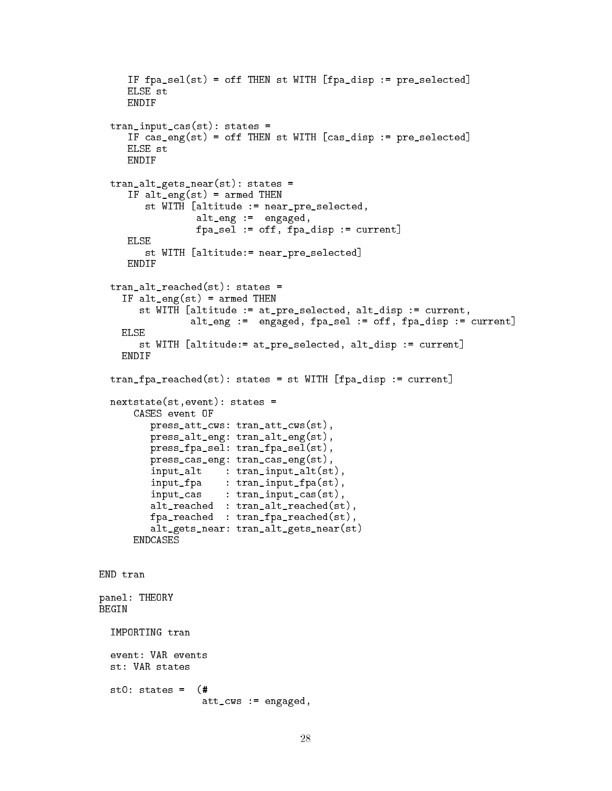```
IF fpa_sel(st) = off THEN st WITH [fpa_disp := pre_selected]
     ELSE st
     ENDIF
  tran_input_cas(st): states =
     IF cas_eng(st) = off THEN st WITH [cas_disp := pre_selected]
     ELSE st
     ENDIF
  tran_alt_gets_near(st): states =
     IF alt_eng(st) = armed THEN
        st WITH [altitude := near_pre_selected,
                 alt_eng := engaged,
                 fpa_sel := off, fpa_disp := current]
     ELSE
        st WITH [altitude:= near_pre_selected]
  tran_alt_reached(st): states =
    IF alt_eng(st) = armed THEN
       st WITH [altitude := at_pre_selected, alt_disp := current,
                alt_eng := engaged, fpa_sel := off, fpa_disp := current]
   FLSF
       st WITH [altitude:= at_pre_selected, alt_disp := current]
   ENDIF
  tran_fpa_reached(st): states = st WITH [fpa_disp := current]
  nextstate(st,event): states =
      CASES event OF
        press_att_cws: tran_att_cws(st),
        press_alt_eng: tran_alt_eng(st),
        press_fpa_sel: tran_fpa_sel(st),
        press_cas_eng: tran_cas_eng(st),
         input_alt : tran_input_alt(st),
         input_fpa : tran_input_fpa(st),
         input_cas : tran_input_cas(st),
         alt_reached : tran_alt_reached(st),
         fpa_reached : tran_fpa_reached(st),
         alt_gets_near: tran_alt_gets_near(st)
      ENDCASES
END tran
panel: THEORY
BEGIN
  IMPORTING tran
  event: VAR events
  st: VAR states
  st0: states = (#
                  att_cws := engaged,
```